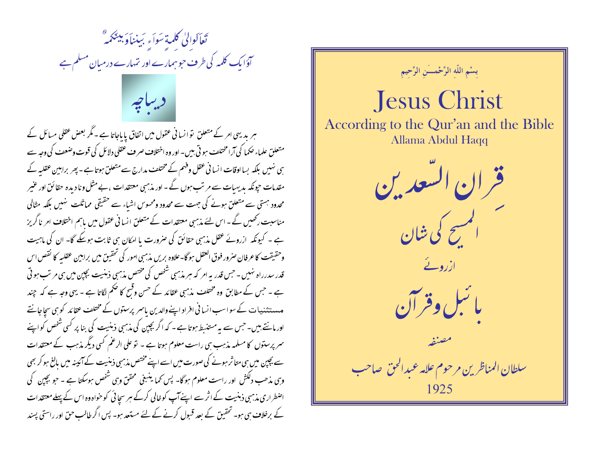

ہر یدیہی امر کے متعلق نو انسا فی عقول میں اتفاق پایاجاتا ہے ۔ مگر بعض عقلی مسائل کے متعلق علماء حکما کی آرامختلف ہو تی بیں۔ اور وہ اختلاف صرف عقلی دلائل کی قوت وضعف کی وجہ سے ہی نہیں بلکہ بسااوقات انسانی عقل وفہم کے مختلف مدارج سے متعلق ہوتا ہے۔ پھر براہیں عقلیہ کے مقدمات حیونکہ بدیہبات سے مرتب ہوں گے - اور مذہبی معتقدات ، بے مثل ونا دیدہ حقائق اور عنیر محدود ہستی سے متعلق ہونے کی جہت سے محدود ومحسوس اشیاء سے حقیقی مماثلت نہیں بلکہ مثالی مناسبت رکھیں گے ۔ اس لئے مذہبی معتقدات کے متعلق انسانی عقول میں باہم اختلاف امر ناگریز ہے ۔ کیونکہ ازرونے عقل مذہبی حقائق کی صرورت یا امکان ہی ثابت ہوسکے گا۔ ان کی ماہیت وحقيقت كاعرفان صرور فوق العقل ہو گا۔علاوہ بریں مذہبی امور کی تحقیق میں براہین عقلبہ كا نقص اس قدر سدرراہ نہیں ۔ جس قدر یہ امر کہ ہیر مذہبی شخص کی مختص مذہبی ذہنیت بچپن میں ہی مرتب ہو تی ہے ۔ حس کے مطابق وہ مختلف مذہبی عقائد کے حسن وقیح کا حکم لگاتا ہے ۔ یہی وجہ ہے کہ چند مہ مستثنیات کے سواسب انسانی افراد اپنے والدین پاسر پرستوں کے مختلف عقائد کو ہی سجاجانتے اور مانتے ہیں۔ جس سے یہ مستنسط ہوتا ہے ۔ کہ اگر بچپن کی مذہبی ذہنیت کی بنا پر کسی شخص کواپنے سمر پرستوں کا مسلمہ مذہب ہی راست معلوم ہوتا ہے ۔ تو علی الرغم کسی دیگر مذہب کے معتقدات سے بچپن میں ہی متاثر ہونے کی صورت میں اسے اپنے مختص مذہبی ذہنیت کے آئینہ میں بالغ ہو کر بھی وہی مذھب دلکش اور راست معلوم ہوگا۔ پس کما ینبغی محقق وہی شخص ہوسکتا ہے ۔ حو پچپن کی اضطراری مذہبی ذہنیت کے اثر سے اپنے آپ کو خالی کرکے ہر سجا ئی کو خواہ وہ اس کے پہلے معتقدات کے برخلاف ہی ہو۔ تحقیق کے بعد قبول کرنے کے لئے مستعد ہو۔ پس اگر طالب حق اور راستی پسند

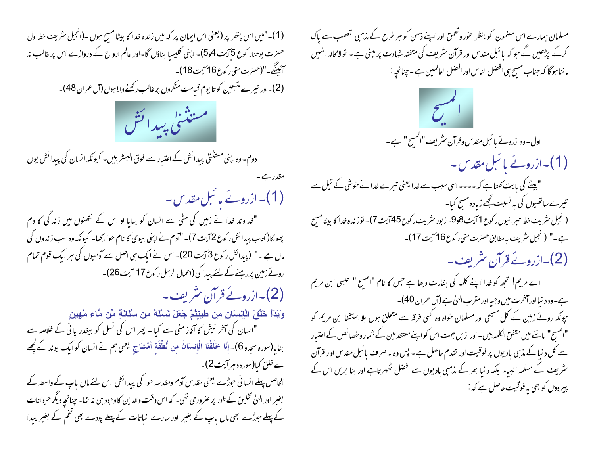(1)۔"میں اس پتھر پر (یعنی اس ایمان پر کہ میں زندہ خدا کا بیٹا مسح ہوں ۔(انجیل سثریف خط اول حصرت یوحنار کوع 5آیت 4و5)۔ اپنی کلیسا بناؤں گا-اور عالم ارواح کے دروازے اس پر غالب نہ آئينگە-"(حىزت متى ركوع16 آيت 18)-

(2)۔اور تیرے متبعین کو تا یوم قیامت منکروں پر غالب رکھنےوالاہوں (آل عمران 48)۔

مقدر ہے۔



دوم۔وہ اپنی مستثنیٰ پیدائش کے اعتبار سے فوق البسٹر بیں۔ کیونکہ انسان کی پیدائش یوں

(1)۔ ازرونے یا سل مقد س۔ "خداوند خدا نے زمین کی مٹی سے انسان کو بنایا او اس کے نتھنوں میں زندگی کا دم پھونکا( کتاب پیدائش رکوع 72یت 7)۔ "آدم نے اپنی بیوی کا نام حوارکھا- کیونکہ وہ سب زندوں کی ماں ہے ۔" (پیدائش رکوع 3 آیت 20)۔ اس نے ایک ہی اصل سے آدمیوں کی ہر ایک قوم تمام روئے زمین پر رہنے کے لئے پیدا کی (اعمال الرسل رکوع 17 آیت 26)۔ (2)۔ازرونے قرآن سٹریف۔ وَبَدَأَ خَلْقَ الْإِنسِانِ مِن طِينِتُمَّ جَعَلَ نَسْلَهُ مِن سُلَالِةٍ مِّن مَّاء مَّهِينِ "انسان کی آخر نیش کا آغاز مٹی سے کیا ۔ پھر اس کی نسل کو بیقدر یا ٹی کے خلاصہ سے

بنايا(سورہ سجدہ 6)۔ إِنَّا حَلَقْنَا الْإِنسَانَ مِن نُطْفَةٍ أَهْشَاجٍ يَعني ہم نے انسان كوايك بوند كے کچھے سے خلق کیا(سورہ دہر آیت2)۔

الحاصل پہلے انسا فی حوڑے یعنی مقدس آدم ومقدسہ حوا کی پیدائش اس لئے ماں باپ کے واسطہ کے بغیر اور الهیٰ تخلیق کے طور پر صروری تھی۔ کہ اس وقت والدین کا وحبود ہی نہ تھا۔ چنانچہ دیگر حیوانات کے پہلے حوڑے بھی ماں باپ کے بغیر اور سارے نباتات کے پہلے پودے بھی تخم کے بغیر پیدا مسلمان ہمارے اس مصمون کو بنظر عوْر وتعمق اور اپنے ذھن کو ہر طرح کے مذہبی تعصب سے پاک کرکے پڑھیں گے حو کہ پائبل مقدس اور قرآن سثریف کی متفقہ شہادت پر مبنی ہے ۔ تولامحالہ انہیں ما ننا ہو گا کہ جناب مسیح ہی افضل الناس اور افضل العالمین ہے۔چنانچہ :

 $\mathcal{L}^{\bullet}$ اول-وہ ازرونے با ئبل مقدس وقرآن سٹریف"المسیح" ہے۔ (1)۔ازروئے یا سل مقد س۔ "بیٹے کی بابت کھتاہے کہ ---- اسی سبب سے خدا یعنی تیرے خدا نے خوشی کے تیل سے تیرے ساتھیوں کی ہہ نسبت تجھے زیادہ مسح کیا۔ (انجیل سٹریف خط عبرانیوں رکوع 1آیت 8و9۔ زبور سٹریف رکوع45آیت7)۔ توزندہ خدا کا بیٹامسیح ہے۔" (انجیل سٹریف ہہ مطابق حصرت متی رکوع16 آیت 17)۔ (2)۔ازروئے قرآن سٹریف۔ اے مریم! تجھ کو خدا اپنے کلمہ کی بشارت دیتا ہے جس کا نام "المسح " عیسی ابن مریم ہے۔ وہ دنیا اور آخرت میں وجبہ اور مقرب الهیٰ ہے (آل عمران 40)۔ حپونکہ روئے زمین کے کل مسیحی اور مسلمان حواہ وہ کسی فرقہ سے متعلق ہوں بلا استشنا ابن مریم کو "المسيح" مانئے میں متفق الکلمہ بیں۔اور ازیں جہت اس کو اپنے معتقد مین کے شمار وحصا ئص کے اعتبار سے کل د نیا کے مذہبی بادیوں پر فوقیت اور تقدم حاصل ہے ۔ پس وہ نہ صرف یا ئىل مقدس اور قرآن سٹریف کے مسلمہ انبیاء بلکہ دنیا بھر کے مذہبی بادیوں سے افضل خُہر تاہے اور بنا بریں اس کے پیروؤں کو بھی یہ فوقیت حاصل ہے کہ :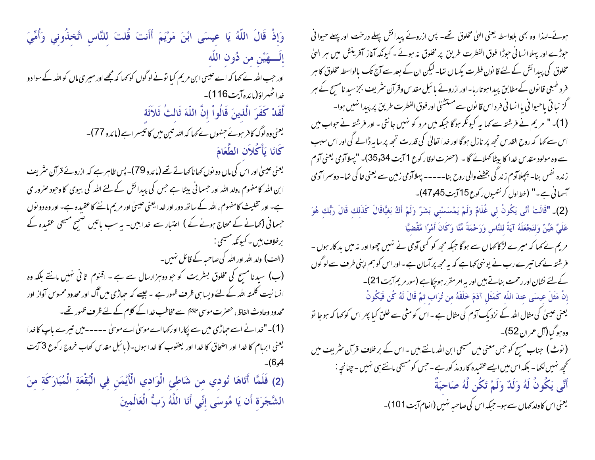وَإِذْ قَالَ اللَّهُ يَا عِيسَى ابْنَ مَرْيَمَ أَأَنتَ قُلتَ لِلنَّاسِ اتَّخِذُونِي وَأُمِّيَ **ٍ إِلَـــــهَيْنِ من دُون اللَّه**ِ ۖ اور حبب التٰہ نے <sub>ک</sub>ہا کہ اُے عیسیٰ ابن مریم کیا نونے لو گوں کو <sub>ک</sub>ہا کہ مجھے اور میری ماں کو التٰہ کے سوادو غداڭھىراؤ(مائدەآيت116)۔ لَّقَدْ كَفَرَ الَّذينَ قَالُواْ إنَّ اللَّهَ ثَالثُ ثَلاَثَة یعنی وہ لوگ کافر ہوئے جنہوں نے کہا کہ اللہ تین میں کا تیسراہے (مائدہ 77)۔ كَانَا يَأْكُلاَنِ الطَّعَامَ یعنی عیسیٰ اور اس کی ماں دو نوں کھاناکھاتے تھے (مائدہ 79)۔ پس ظاہر ہے کہ ازروئے قرآن سٹریف ا بن اللہ کا مفهوم ،ولد اللہ اور حسما فی بیٹا ہے جس کی پیدائش کے لئے اللہ کی بیوی کا وحود صرور ی ہے۔ اور تثلیث کامفہوم، اللہ کے ساتھ دور اور خدا یعنی عیسیٰ اور مریم ماننے کاعقیدہ ہے۔ اور وہ دو نوں جسمانی (تھانے کے محتاج ہونے کے ) اعتبار سے خدا ہیں۔ یہ سب باتیں صبح مسیحی عقیدہ کے برخلاف ہیں۔ کیونکہ مسیحی :-(الف) ولد الله اور الله کی صاحبہ کے قائل نہیں۔ (ب) سیدنا مسیح کی مخلوق بسٹریت کو حو دوہزارسال سے ہے ۔ اقنوم ثانی نہیں مانتے بلکہ وہ انسانیت کلمتہ اللہ کے لئے ویسا ہی ظرف ظہور ہے ۔جیسے کہ حبارٌ می میں آگ اور محدود محسوس آواز اور محدود وحادث الفاظ ، حصرت موسى ع<sup>لائق</sup>ا سے مخاطب خدا کے کلام کے لئے ظرف ظہور تھے۔ (1)۔ "خدا نے اسے حبارٌ می میں سے پکارا اور کھا اے موسیٰ اے موسیٰ ۔۔۔۔۔میں تیرے باپ کا خدا یعنی ابرہام کا خدا اور اصحاق کا خدا اور یعقوب کا خدا ہوں۔(بائبل مقدس کتاب خروج رکوع 3 آیت  $(6,4)$ 

(2) فَلَمَّا أَتَاهَا نُودي مِن شَاطئِ الْوَادي الْأَيْمَنِ فِي الْبُقْعَةِ الْمُبَارَكَةِ مِنَ<br>الشَّجَرَةِ أَن يَا مُوسَى إِنِّي أَنَا اللَّهُ رَبُّ الْعَالَمِينَ

ہوئے۔لہذا وہ بھی بلاواسطہ یعنی الہیٰ مخلوق تھے۔ پس ازروئے پیدائش پہلے درخت اور پہلے حیوانی حبورُّے اور پہلا انسانی حبورًا فوق الفطرت طریق پر مخلوق نہ ہوئے۔کیونکہ آغاز آفرینش میں ہر العلٰ مخلوق کی پیدائش کے لئے قا نون فطرت یکساں تھا۔لیکن ان کے بعد سے آج تک بالواسطہ مخلوق کا ہر فرد طبعی قانون کےمطابق پیدا ہوتارہا- اور ازروئے با <sup>ئب</sup>ل مق*د س وقر*آن سٹریف بجزسید نامسیح کے ہر گز نبا تی باحیوانی یاانسانی فر داس قانون سے مستشنل اور فوق الفطرت طریق پر پیدا نہیں ہوا۔ (1)۔ " مریم نے فرشتہ سے کہا ہہ کیونکر ہوگا جبکہ میں مرد کو نہیں جانتی - اور فرشتہ نے حواب میں اس سے کہا کہ روح القدس تجھ پر نازل ہوگا اور خدا تعالیٰ کی قدرت تجھ پر سایہ ڈالے گی اور اس سبب سے وہ مولود مقد س خدا کا بیٹا کملائے گا ۔ (حصرت لوقار کوع 1 آیت 34و35)۔ "پہلا آدمی یعنی آدم ز ندہ نفس بنا۔ پیچلاآدم زند گی بخشنے والی روح بنا۔۔۔۔۔ پہلاآدمی زمین سے یعنی خا کی تھا۔ دوسمراآدمی آسمانی ہے۔" (خط اول کر نتھیوں رکوع 15 آیت 45و47)۔

(2)\_ "قَالَتْ أَنَّى يَكُونُ لِي غُلَامٌ وَلَمْ يَمْسَسْنِي بَشَرٌ وَلَمْ أَكْ بَغيَّاقَالَ كَذَلك قَالَ رَبُّك هُوَ عَلَيَّ هَيِّنٌ وَلنَجْعَلَهُ آيَةً للنَّاسِ وَرَحْمَةً مِّنَّا وَكَانَ أَمْرًا مَّقْضيًّا

مریم نے کہا کہ میرے لڑکا کہا ں سے ہوگا جبکہ مجھ کو کسی آدمی نے نہیں چھوا اور نہ میں بد کار ہوں ۔ فرشتہ بے کہا تیرے رب نے یونٹی کہاہے کہ یہ مجھ پر آسان ہے۔اور اس کو ہم اپنی طرف سے لوگوں کے لئے نشان اور رحمت بناتے ہیں اور یہ امر مقرر ہوجکا ہے (سور مریم آیت 21)۔ إنَّ مَثَلَ عِيسَى عِندَ اللَّه كَمَثَل آدَمَ خَلَقَهُ من تُرَاب ثمَّ قَالَ لَهُ كُن فَيَكُونُ

یعنی عیسیٰ کی مثال اللہ کے نزدیک آدم کی مثال ہے ۔اس کومٹی سے خلق کیا پھر اس کو کہا کہ ہوجا تو وہ ہو گیا (آل عمر ان 52)۔

( نوٹ ) جناب مسیح کو جس معنی میں مسیحی ابن اللہ مانتے ہیں ۔ اس کے بر خلاف قرآن سٹریف میں تحجیر نہیں لکھا۔ بلکہ اس میں ایسے عقیدہ کارد مذکور ہے۔ حس کومسیحی مانتے ہی نہیں ۔ چنانچہ : أَنَّى يَكُونُ لَهُ وَلَدٌ وَلَمْ تَكُن لَّهُ صَاحَبَةٌ یعنی اس کاولد کہاں سے ہو۔ حبکہ اس کی صاحبہ نہیں (انعام آیت 101)۔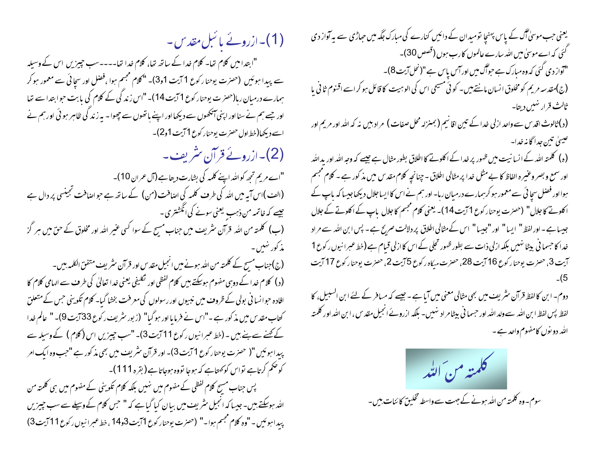(1)۔ازروئے یا نبل مقدس۔ "ابتدامیں کلام تھا۔ کلام خدا کے ساتھ تھا، کلام خدا تھا۔۔۔۔سب چیزیں اس کے وسیلہ سے پیدا ہوئیں (حصرت یوحنا رکوع 1 آیت 1و3)۔ "کلام مجسم ہوا ،فضل اور سچائی سے معمور ہو کر ہمارے درمیان رہا(حصر ت یوحنار کوع 1 آیت 14)۔ "اس زند کی کے کلام کی بابت حوابتدا سے تھا اور جسے ہم نے سنااور اپنی آنکھوں سے دیکھااور اپنے ہاتھوں سے جھوا۔ بیرز ند کی ظاہر ہو ئی اور ہم نے اسے دیکھا(خط اول حصرت یوحنار کوع 1 آیت 1و2)۔ (2)۔ازرونے قرآن ئتریف۔ "اے مریم تجھ کواللہ اپنے کلمہ کی بشارت دیتاہے (آل عمران 10)۔ (الف)اس آیہ میں اللہ کی طرف کلمہ کی اضافت (من) کے ساتھ ہے جو اضافت تجینسی پر دال ہے ھیسے کہ خاتمہ من ذہب یعنی سونے کی انگشتری۔ (ب) کلمتہ من اللہ قرآن سٹریف میں جناب مسیح کے سوا کسی عنیر اللہ اور مخلوق کے حق میں ہر گز مذ کور نہیں ۔ (ج) جناب مسح کے کلمتہ من اللہ ہونے میں انجیل مقدس اور قرآن سٹریف متفق الکلمہ بیں۔ (د) کلام خدا کے دوہی مفهوم ہوسکتے بیں کلام لفظی اور تکلیفی یعنی خدا تعالیٰ کی طرف سے الہامی کلام کا افادہ حبوانسا فی بولی کے ظروف میں نبیوں اور رسولوں کی معرفت بخشا گیا۔ کلام تکوینی حس کے متعلق کتاب مقدس میں مذ کور ہے ۔"اس نے فرمایا اور ہو گیا" (زبور سٹریف رکوع 33 آیت 9)۔ " عالم خدا کے کچنے سے بنے ہیں ۔ (خط عبرانیوں رکوع 11 آیت 3)۔ "سب جیپزیں اس (کلام ) کے وسیلہ سے پیدا ہوئیں "( حصرت یوحنار کوع 1 آیت 3)۔ اور قرآن سثریف میں بھی مذ کور ہے "حب وہ ایک امر کو حکم کرتاہے نواس کو کھتاہے کہ ہوجا نووہ ہوجاتاہے(بقرہ 111)۔ پس جناب مسیح کلام لفظی کے مفہوم میں نہیں بلکہ کلام تکوینی کے مفہوم میں ہی کلمتہ من اللہ ہوسکتے ہیں۔ جیسا کہ انجیل سٹریف میں بیان کیا گیاہے کہ " حس کلام کے وسیلے سے سب چیزیں پیدا ہوئیں۔"وہ کلام مجسم ہوا۔" (حصرت یوحنار کوع 1آیت3و14 ،خط عبرانیوں رکوع11آیت3)

یعنی حب موسیٰ آگ کے پاس پہنچا تومیدان کے دائیں کنارے کی مبارک جگہ میں حبار ُی سے پہ آواز دی گئی کہ اے موسیٰ میں اللہ سارے عالموں کارب ہوں (قصص 30)۔ "آواز دی گئی کہ وہ مبارک ہے حبواگ میں اور آس پاس ہے"(نحل آیت 8)۔ (ج)مقد سہ مریم کومخلوق انسان مانتے ہیں۔ کوئی مسیحی اس کی الوہیت کا قائل ہو کر اسے اقنوم ثانی یا ثالث قرار نهبيں ديتا۔ (د) ثالوث اقد س سے واحد ازلی خدا کے تین اقا نیم ( بمنزلہ محل صفات ) مراد بیں نہ کہ الٹد اور مریم اور عيسىٰ تين جدا گا نہ خدا۔ (ہ) کلمتہ ا<sub>لٹع</sub>ر کے انسا نیت میں ظہور پر خدا کے اکلوتے کا اطلاق بطور مثال ہے جیسے کہ وجہ الٹیر اور یدالٹیر اور سمع و بصر وعنيره الفاظ كا بے مثل خدا پر مثالی اطلاق - چنانچهِ كلام مقدس میں مذكور ہے - كلام مجسم ہوااور فصل سچائی سے معمور ہو کرہمارے درمیان رہا۔ اور ہم نے اس کا ایساجلال دیکھاجیسا کہ پاپ کے ا کلوتے کا جلال" (حصرت یوحنار کوع 1 آیت 14)۔ یعنی کلام مجسم کا جلال باپ کے اکلوتے کے جلال جیسا ہے۔اور لفظ " ایسا " اور "جیسا " اس کے مثالی اطلاق پر دلالت صریح ہے۔ پس ابن اللہ سے مراد خدا کا حسما فی بیٹا نہیں بلکہ ازلی ذات سے بطور ظہور تحلی کے اس کا ازلی قیام ہے (خط عبرا نیوں رکوع 1 آيت 3، حصرت يوحنار كوع 16 آيت 28، حصرت ميكاه ركوع 5 آيت 2، حصرت يوحنار كوع 17 آيت

دوم۔ ابن کا لفظ قرآن سٹریف میں بھی مثالی معنی میں آیا ہے ۔ جیسے کہ مسافر کے لئے ابن السبیل، کا لفظ پس لفظ ابن الله سے ولد الله اور حسما فی بیٹا مراد نهیں۔ بلکہ ازروئے انجیل مقدس ،ابن الله اور کلمته الله دو نوں کامفهوم واحد ہے ۔

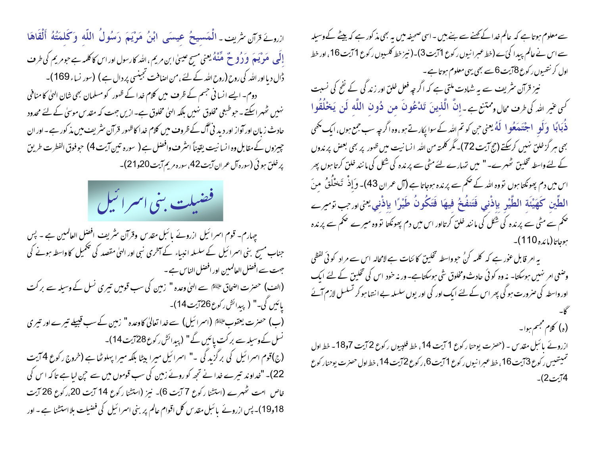ازرونے قرآن شریف۔ الْمَسيحُ عيسَى ابْنُ مَرْيَمَ رَسُولُ اللَّه وَكَلمَتُهُ أَلْقَاهَا إِلَى ۖ هَوْ يَهِمَ ۖ وَرُوحٌ ۖ هِّنْهُ يعني مسِح عيسىٰ ابن مريم ، الله كارسول اور اس كاكلمه ہے حبو مريم كى طرف ڈال دیا اور اللہ کی روح (روح اللہ کے لئے ، من اصافت نجینسی پر دال ہے ) (سور نساء 169)۔ دوم۔ ایسے انسانی جسم کے ظرف میں کلام خدا کے ظہور کو مسلمان بھی شان الہیٰ کا منافی نہیں ٹھہراسکتے۔حوطبعی مخلوق نہیں بلکہ الہیٰ مخلوق ہے۔ازیں جہت کہ مقدس موسیٰ کے لئے محدود حادث زبان اور آواز اور دید نئی آگ کے ظروف میں کلام خدا کاظہور قرآن سٹریف میں مذ کور ہے ۔اور ان جییزوں کے مقابل وہ انسانیت یقیناً اسٹر ف وافضل ہے ( سورہ تین آیت 4) حبوفوق الفطرت طریق پر خلق ہوئی (سورہ آل عمران آیت 42، سورہ مریم آیت 20و21)۔



چہارم۔ قوم اسمرائیل ازروئے پائبل مقدس وقرآن نثریف افضل العالمین ہے ۔ پس جناب مسج بنی اسرائیل کے سلسلہ انبیاء کے آخری نبی اور الہیٰ مقصد کی تکمیل کا واسطہ ہونے کی جهت سے افضل العالمیین اور افضل الناس ہے ۔ (الف) حصرت اضحاق علیَّتَا سے الٰہٰیٰ وعدہ " زمین کی سب قومیں تیمری نسل کے وسیلہ سے بر کت يائيں کی۔" ( پيدائش رکوع26آيت14)۔ (ب) حصرت یعقوب ِ اِللَّهِ (اسمرائیل) سے خدا تعالیٰ کاوعدہ " زمین کے سب قبیلے تیمرے اور تیمری نسل کےوسیلہ سے بر کت پائیں گے" (پیدائش رکوع28آیت14)۔ (ج)قوم اسرائیل کی برگزیدگی -" اسرائیل میرا بیٹا بلکہ میرا پہلوٹیا ہے (خروج رکوع 4 آیت 22)۔ "خداوند تیرے خدا نے تجھ کو روئے زمین کی سب قوموں میں سے حپن لیا ہے تاکہ اس کی خاص امت ٹھہرے (استشار کوع 7 آیت 6)۔ نیز (استشار کوع 14 آیت 20،رکوع 26 آیت 19٫18)۔ پس ازروئے پائبل مقدس کل اقوام عالم پر بنی اسرائیل کی فضیلت بلااستشنا ہے ۔ اور

سے معلوم ہوتا ہے کہ عالم خدا کے کہنے سے بنے بیں ۔ اسی صحیفہ میں یہ بھی مذ کور ہے کہ بیٹے کے وسیلہ سے اس نے عالم بیدا کئ ے (خط عبرانیوں رکوع 1 آیت 3)۔(نیز خط کلسیوں رکوع 1 آیت 16، اور خط اول کرنتھیوں رکوع 8آیت 6سے بھی یہی معلوم ہوتا ہے۔

نیز قرآن سٹریف سے یہ شادت ملتی ہے کہ اگر چہ فعل خلق اور زند گی کے نفح کی نسبت كَنِي عَمِرِ اللَّهُ كَي طرف مجالٍ ومُمْتَنِعٍ جِدٍ إِنَّ الَّذِينَ تَلاْعُونَ مِن ذُونِ اللَّهِ كَن يَخْلُقُوا ذُبَابًا وَلَو اجتَنَعَعُو ا لَهُ يعني حن كو تم <sub>التٰه</sub>ر كے سوا پ<sub>كار</sub>تے ہو، وہ اگر *چہ سب جمع ہوں*، ايك مُحي بھی ہر گز خلق نہیں کر پکتے (حج آیت 72)۔ مگر کلمتہ من اللہ انسانیت میں ظہور پر بھی بعض پر ندوں کے لئے واسطہ تخلیق لٹھہرے۔" میں تہارے لئے مٹی سے پر ندہ کی شکل کی ما نند خلق کرتا ہوں پھر اس میں دم پھونکتا ہوں تووہ اللہ کے صحم سے پرندہ ہوجاتا ہے (آل عمران 43)۔ وَ إِذْ ۖ تَحْلُقُ ۚ مِنَ الطِّين كَهَيْئَة الطَّيْر بإذْني فَتَنفُخُ فيهَا فَتَكُونُ طَيْرًا بإذْني يعنىاورجب توميرے تحکم سے مٹی سے پرندہ کی شکل کی ما نند خلق کرتااور اس میں دم پھونکتا تووہ میرے صحم سے پرندہ ہوجاتا(مائدہ110)۔

یہ امر قابل عوٰر ہے کہ کلمہ کنُ حبوواسطہ تخلیق کا ئنات ہے لامحالہ اس سے مراد کوئی لفظی وضعی امر نہیں ہوسکتا۔ نہ وہ کوئی حادث ومخلوق شی ہوسکتاہے۔ ور نہ حود اس کی تخلیق کے لئے ایک اور واسطہ کی صرورت ہوگی پھر اس کے لئے ایک اور کی اور یوں سلسلہ بے انتہا ہو کر تسلسل لازم آئے (ه) کلام مجسم ہوا۔ ازروئے پائبل مقدس - (حصرت یوحنا رکوع 1 آیت 14، خط فلپیوں رکوع 2 آیت 7و18- خط اول تميشييس ركوع 3آيت 16، خط عبرانيوں ركوع 1آيت 6، ركوع 2آيت 14، خط اول حصرت يوحنار كوع  $(2.71)$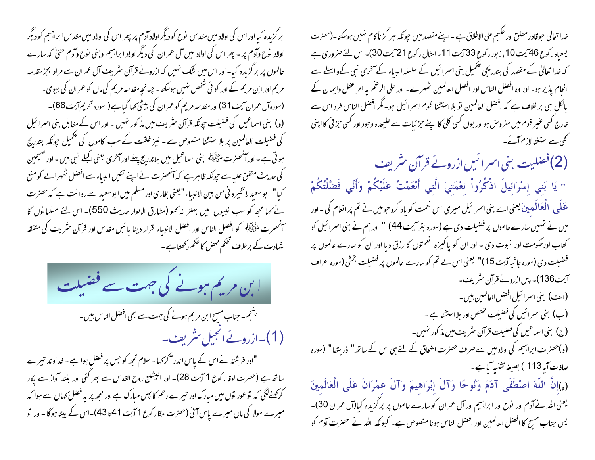بر گزیدہ کیااور اس کی اولاد میں مقدس نوح کودیگر اولاد آدم پر پھر اس کی اولاد میں مقدس ابراہیم کودیگر اولاد نوح وآدم پر - پھر اس کی اولاد میں آل عمران کی دیگر اولاد ابراہیم وبنی نوح وآدم حتیٰ کہ سارے عالموں پر برگزیدہ کیا۔ اور اس میں شک نہیں کہ ازروئے قرآن سثر پف آل عمران سے مراد بجزمقدسہ مریم اور ابن مریم کے اور کوئی شخص نہیں ہوسکتا۔چنانچہ مقدسہ مریم کی ماں کو عمر ان کی بیوی۔ (سورہ آل عمران آیت 31) اور مقدسہ مریم کو عمران کی بیٹی کہا گیا ہے ( سورہ تحریم آیت 66)۔ (و) بنی اسماعیل کی فضیلت حپونکہ قرآن سٹریف میں مذکور نہیں - اور اس کے مقابل بنی اسرائیل کی فضیلت العالمین پر بلا استشنا منصوص ہے ۔ نیز خلقت کے سب کاموں کی تحکمیل جونکہ بتدریج ہو تی ہے ۔اور آنحصرت ملٹی ایکم بنی اسماعیل میں بلا تدریج پہلے اور آخری یعنی اکیلے نبی ہیں ۔اور صیحین کی حدیث متفق علیہ سے حپونکہ ظاہر ہے کہ آنھھنرت نے اپنے تئیں انبیاء سے افضل تٹھہرانے کومنع کیا" ابوسعید لاتخیرو نی من بین الاندیاء "یعنی بخاری اورمسلم میں ابوسعید سے روائت ہے کہ حصرت نے کہا مجھ کو سب نبیوں میں بہتر نہ کہو (مثارق الانوار حدیث 550)۔ اس لئے مسلمانوں کا سنحصرت لمُتَعَيِّنَةً كو افضل الناس اور افضل الانبياء قرار دينا ما سَل مقدس اور قرآن سنْريف كي متفقه شہادت کے برخلاف تحکم محض کا ضم رکھتاہے۔



بشجم۔ جناب مسیح ابن مریم ہونے کی جہت سے بھی افضل الناس ہیں۔ (1)۔ازروئےانجیل مثریف۔

"اور فرشتہ نے اس کے پاس اندرآ کر کہا۔سلام تجھ کو حس پر فصل ہوا ہے -خداوند تیرے ساتھ ہے (حصرت لوقا رکوع 1 آیت 28)۔ اور الیشیع روح القد <sub>ک</sub> سے بھر کئی اور بلند آواز سے پکار کرکھنےلگی کہ توعور توں میں مبارک اور تیرے رحم کا بیل مبارک ہے اور مجھ پر یہ فضل کہاں سے ہوا کہ میرے مولا کی ماں میرے پاس آئی (حصرت لوقار کوع 1 آیت 41 ہا 43)۔اس کے بیٹا ہوگا -اور نو

خدا تعالیٰ حبوقادر مطلق اور حکیم علی الاطلاق ہے ۔اپنے مقصد میں حبونکہ سٖر گز ناکام نہیں ہوسکتا۔(حصر ت یسعیاہ رکوع 46آیت 10 ، زبور رکوع 33 آیت 11- امٹال رکوع 21 آیت 30)۔ اس لئے صروری ہے کہ خدا تعالیٰ کے مقصد کی بتدریجی تکمیل بنی اسمرائیل کے سلسلہ انبیاء کے آخری نبی کےو اسطے سے انحام پذیر ہو۔ اور وہ افضل الناس اور افضل العالمین ٹھہرے۔ اور علی الرغم بہ امر عقل وایمان کے بالکل ہی بر خلاف ہے کہ افضل العالمین تو بلااستشنا قوم اسرائیل ہو۔ مگر افضل الناس فرد اس سے خارج کسی عنیر قوم میں مفروض ہواور یوں کسی کلی کااپنے حزئیات سے علیحدہ وحبود اور کسی حزئی کااپنی کلی سے استغنا لازم آئے۔

(2)فضلیت بنی اسرائیل ازروئے قرآن س<sup>ٹ</sup>ریف

" يَا بَنِي إِسْرَائِيلَ اذْكُرُواْ نِعْمَتِيَ الَّتِي أَنْعَمْتُ عَلَيْكُمْ وَأَنِّي فَضَّلْتُكُمْ عَلَى ۖ الْعَالَمِينَ یعنی اے بنی اسرائیل میری اس نعمت کو یاد کروجومیں نے تم پرانعام کی ۔ اور میں نے شہیں سارے عالموں پر فضیلت دی ہے (سورہ بقر آیت 44) " اور ہم نے بنی اسرائیل کو کتاب اورحکومت اور نبوت دی - اور ان کو پاکیزه تعمتوں کا رزق دیا اور ان کو سارے عالموں پر فضیلت دی (سورہ جاثیہ آیت 15)" یعنی اس نے تم کو سارے عالموں پر فضیلت بخشی (سورہ اعراف آیت136)۔ پس ازروئے قرآن سٹریف۔ (ال<sub>صْ</sub>) بني اسمرائيل افضل العالمبين بين – (ب) بني اسمرائيل کي فضيلت مختص اور بلااستشنا ہے ۔ (ج) بنی اسماعیل کی فضیلت قرآن سٹریف میں مذکور نہیں۔ (د)حصر ت ابراہیم کی اولاد میں سے صرف حصرت اضحاق کے لئے ہی اس کے ساتھ" ذریتھا" (سورہ صافات آیہ113 ) بصیغہ تثنیہ آیا ہے۔ (ه)إِنَّ اللَّهَ اصْطَفَى آدَمَ وَنُوحًا وَآلَ إبْرَاهِيمَ وَآلَ عَمْرَانَ عَلَى الْعَالَمينَ

یعنی اللہ نے آدم اور نوح اور ابراہیم اور آل عمران کو سارے عالموں پر بر گزیدہ کیا(آل عمران 30)۔ پس جناب مسیح کا افضل العالمین اور افضل الناس ہونا منصوص ہے۔ کیونکہ اللہ نے حصرت آدم کو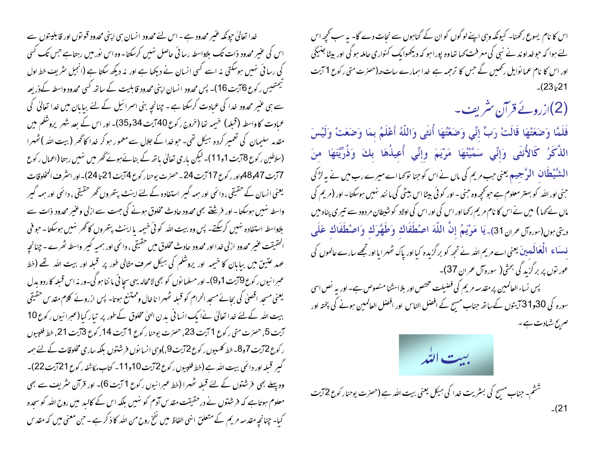اس کا نام یسوع رکھنا۔ کیونکہ وہی اپنے لوگوں کو ان کے گناہوں سے نحات دے گا۔ یہ سب کچھ اس لئے ہوا کہ حو خداوند نے نبی کی معرفت کہا تعاوہ پورا ہو کہ دیکھوایک کنواری حاملہ ہو گی اور بیٹا جنیکی اور اس کا نام عما نوایل رکھیں گے جس کا ترجمہ ہے خدا ہمارے سات حد(حصرت متی رکوع 1 آیت

(2)ازروئے قرآن سٹریف۔

فَلَمَّا وَضَعَتْهَا قَالَتْ رَبِّ إِنِّي وَضَعْتُهَا أُنثَى وَاللَّهُ أَعْلَمُ بِمَا وَضَعَتْ وَلَيْسَ الذَّكَرُ كَالأُنثَى وَإِنِّي سَمَّيْتُهَا مَرْيَمَ وِإِنِّي أُعِيذُهَا بِكَ وَذُرِّيَّتَهَا مِنَ النٹنَّیٹطکان الوَّجیم یعنی جب مریم کی ماں نے اس کو جنا تو <sub>ک</sub>ما اے میرے رب میں نے یہ لڑکی جنی اور اللہ کو بہتر معلوم ہے حو تحچھ وہ جنی ۔ اور کو ئی بیٹا اس بیٹی کی ما نند نہیں ہوسکتا ۔ اور (مریم کی ماں نے کہا ) میں نے اس کا نام مریم رکھااور اس کی اور اس کی اولاد کو شیطان مر دود سے تیر ی پناہ میں دِيتِي بِولِ(سِرِهِ آل عران 31)۔ يَا مَوْيَمُ إِنَّ اللَّهَ اصْطَفَاكِ وَطَهَّرَكِ وَاصْطَفَاكِ عَلَى ف سکاء الْعَالَمه بِنَ یعنی اے مریم اللہ نے تجھ کو بر گزیدہ کیااور پاک ٹھہرایااور تجھے سارے عالموں کی عور نوں پر برگزید گی بحثی( سورہ آل عمران 37)۔ پس نساء العالمین پرمقدسه مریم کی فضیلت مختص اور بلااسشنا منصوص ہے۔ اور یہ نص اسی

سورہ کی 30و31 آیتوں کےساتھ جناب مسیح کے افضل الناس اور افضل العالمین ہونے کی پختہ اور صریح شادت ہے۔



ششم- جناب مسیح کی بسٹریت خدا کی ہیکل یعنی بیت اللہ ہے (حسرت یوحنار کوع 2آیت  $-(21)$ 

خدا تعالیٰ حیونکہ عنبر محدود ہے ۔اس لئے محدود انسان ہی اپنی محدود قو نوں اور قابلیتوں سے اس کی عنیر محدود ذات تک بلاواسطہ رسائی حاصل نہیں کرسکتا۔وہ اس نور میں رہتاہے جس تک کسی کی رسائی نہیں ہوسکتی نہ اسے کسی انسان نے دیکھا ہے اور نہ دیکھ سکتا ہے (انجیل سٹریف خط اول سیمتھیس رکوع 6آیت 16)۔ پس محدود انسان اپنی محدود قابلیت کے ساتھ کسی محدود واسطہ کےذریعہ سے ہی عنیر محدود خدا کی عمادت کرسکتا ہے ۔ چنانچہ بنی اسرائیل کے لئے بیابان میں خدا تعالیٰ کی عمادت کاواسطہ (قبلہ) خیبیہ تھا (خروج رکوع 40 آیت 34و35)۔ اور اس کے بعد شہر پروشلم میں مقدمہ سلیمان کی تعمیر کردہ ہیکل تھی۔ حو خدا کے جلال سے معمور ہو کر خدا کا گھر (بیت اللہ )ٹھہرا (سلاطین ر کوع 8آیت 11و11)۔ لیکن باری تعالیٰ باتھ کے بنائے ہوئے تھر میں نہیں رہتا (اعمال ر کوع 7أيت 48و48واور ركوع 17أيت 24- حصرت يوحنار كوع 4أيت 21 تا 24)-اور انثر ف المخلوقات یعنی انسان کے حقیقی ، دائمی اور ہمہ گیر استفادہ کے لئے اینٹ پتھروں گھر حقیقی ، دائمی اور ہمہ گیر واسطہ نہیں ہوسکتا ۔ اور فرشنے بھی محدود حادث مخلوق ہونے کی جهت سے ازلی وعنیر محدود ذات سے بلاداسطہ استفادہ نہیں کرسکتے۔ پس وہ بیت اللہ کوئی خیمیہ یااینٹ پتھروں کا گھر نہیں ہوسکتا۔ حبوفی الحقیقت عنیر محدود ازلی خدااور محدود حادث مخلوق میں حقیقی ، دائمی اور ہمیہ گیبر واسطہ ٹھرے - چنانچہ عہد عتیق میں بیابان کا خیمہ اور پروشکم کی ہیکل صرف مثالی طور پر قبلہ اور بیت اللہ تھے (خط عبرانيوں رکوع 19يت 1و9)۔ اور مسلما نوں کو بھی لامحالہ یہی سجائی ما ننا ہو گی۔ورنہ اس قبلہ کاردو بدل یعنی مسحد اقصلی کی بجائے مسجد الحرام کو قبلہ ٹھہرا ناخال وممتنع ہوتا۔ پس ازروئے کلام مقدس حقیقی بیت اللہ کےلئے خدا تعالیٰ نےا یک انسا فی یدن الہیٰ مخلوق کے طور پر تیار کیا (عبرانیوں رکوع 10 آيت 5، حصرت متى ركوع 1 آيت 23، حصرت يوحنا ركوع 1 آيت 14ركوع 3آيت 21، خط فلپيول ر کوع 72بت 7و8۔ خط کلسیوں ر کوع 72بیت 9،)وہی انسا نوں فرشتوں بلکہ ساری مخلوقات کے لئے ہمہ گیر قبلہ اور دائمی بیت اللہ ہے (خط فلپیوں رکوع 2آیت 10و11- کتاب مکاشفہ رکوع 21آیت 22)۔ وہ پہلے بھی فرشتوں کے لئے قبلہ ٹھہرا (خط عبرانیوں رکوع 1 آیت 6)۔ اور قرآن سٹریف سے بھی معلوم ہوتاہے کہ فرشتوں نے درحقیقت مقدس آدم کو نہیں بلکہ اس کے کالبد میں روح اللہ کو سجدہ کیا۔ چنانچہ مقدسہ مریم کے متعلق انہی الفاظ میں نفخ روح من اللہ کا ذکر ہے ۔حن معنی میں کہ مقدس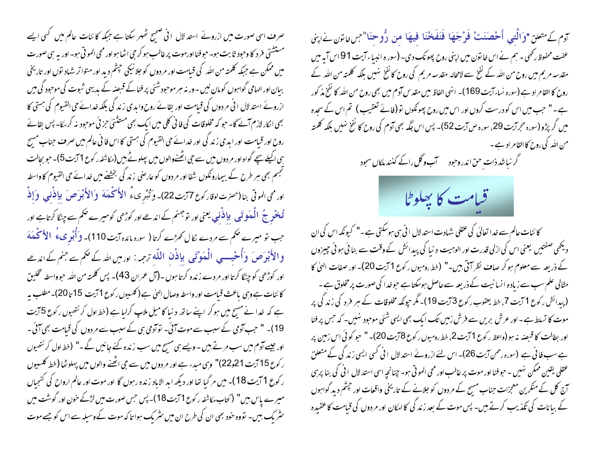صرف اسی صورت میں ازروئے استد لال انی صحیح حُہر سکتا ہے جبکہ کا ئنات عالم میں کسی ایسے مستشنل فرد کا وحبود ثابت ہو۔ حبوفنا اورموت پر غالب ہو کر حی اٹھاہو اور محی الموتی ہو۔ اور یہ ہی صورت میں ممکن ہے جبکہ کلمتہ من اللہ کی قیامت اور مردوں کو جلا نیکی حجشم دید اور متواتر شہاد توں اور تاریخی بیان اور الہامی گواہوں کومان لیں -وریہ سر موحودشئی پر فنا کے قبصہ کے بدیہی شبوت کی موحود کی میں ازروئے استدلال انی مر دوں کی قیامت اور بقائے روح وابدی زند کی بلکہ خدائے حی القبوم کی ہستی کا بھی انکار لازم آئے گا۔ حبو کہ مخلوقات کی فانی کلی میں ایک بھی مستثنیٰ حزئی موحبود نہ کر بےا۔ پس بقائے روح اور قبامت اور ابدی زند کی اور خدائے حی القیوم کی ہستی کااس فا فی عالم میں صرف جناب مسیح ہی اکیلے سچے گواہ اور مر دوں میں سے حی انھُنےوالوں میں پیلوٹے بیں (مکاشفہ رکوع 1 آیت 5)۔ حو بجالت تجسم بھی ہر طرح کے بیمارونکوں شفا اور مردوں کوعارضی زند کی بخشنے میں خدائے حی القیوم کا واسطہ اور ممَّى الموتى بنا (حضرت لوقاركوع 77يت22)۔ وَتُبْرِيءُ الأَكْمَةَ وَالأَبْوَصَ بِإِذْنِي وَإِذْ ۔<br>تُ**مخْرِجُ الْمَوَتَى بِإِذْنِي يعنى اور تو**جهنم كے اندھے اور كوڑھى كوميرے حكم سے چنگا كرتاہے اور جب تو میرے صحم سے مردے لکال کھڑے کرتا ( سورہ مائدہ آیت 110)۔ وَأُبْوِ مِیءُ الأَمَكْعَهَ والأَبْوَصَ وَأُحْيِبِ الْمَوْتَى بِإِذْنِ اللَّه ترجمہ: اور میں اللہ کے حُمَ سے جنم کے اندھے اور کوڑھی کو چینگا کرتا اور مردے زندہ کرتا ہوں ۔(آل عمران 43)۔ پس کلمتہ من اللہ حبوواسطہ تخلیق کائنات ہے وہی باعث قیامت اور واسطہ وصال الہٰی ہے( کلسیوں رکوع 1 آیت 15 تا 20)۔مطلب ہیر ہے کہ خدا نے مسج میں ہوکر اپنے ساتھ دنیا کامیل ملاپ کرلیا ہے (خط اول کرنتھیوں رکوع 5 آیت 19)۔ " حب آدمی کے سبب سے موت آئی۔ توآدمی ہی کے سبب سے مردوں کی قیامت بھی آئی۔ اور جیسے آدم میں سب مرتے ہیں ۔ویسے ہی مسبح میں سب زندہ کئے جائیں گے ۔" (خط اول کر نتھیوں ر کوع 15 آیت 21و22)" وہی مبدء ہے اور مردوں میں سے حِی اٹھنے والوں میں پہلوٹھا (خط کلسیوں ر کوع 1 آیت 18)۔ میں مر گیا تھا اور دیکھ ابد الاباد زندہ رہوں گا اور موت اور عالم ارواح کی کنجیاں میرے پاس بیں" (کتاب مکاشفہ رکوع 11یت18)۔ پس جس صورت میں لڑکے حون اور گوشت میں سٹریک ہیں۔ تووہ حود بھی ان کی طرح ان میں سٹریک ہوا تا کہ موت کے وسیلہ سے اس کو جسے موت

آدم كے متعلق "وَالَّتي أَحْصَنَتْ فَوْجَهَا فَنَفَخْنَا فِيهَا مِن رُّوحِنَا"جس اتون نے اپنی عفت محفوظ رکھی ۔ ہم نے اس خا تون میں اپنی روح پھونک دی۔ (سور ہ انبیاء آیت 91 اس آیہ میں مقدسہ مریم میں روح من اللہ کے نفخ سے لامحالہ مقدسہ مریم کی روح کا نفخ نہیں بلکہ کلمتہ من اللہ کے روح کا القا مراد ہے (سورہ نساء آیت 169)۔ انهی الفاظ میں مقدس آدم میں بھی روح من اللہ کا تفخ مذ کور ہے۔" حب میں اس کو درست کروں اور اس میں روح پھونکوں تو (فائے تعقیب ) تم اس کے سجدہ میں گر پڑو (سورہ حجرآیت 29، سورہ ص آیت 52)۔ پس اس جگہ بھی آدم کی روح کا نفخ نہیں بلکہ کلمتہ من الله کی روح کا القامر اد ہے ۔

## گر نباشد ذات حق اندر وحود سسسسسس و گل راکے کنند ملکاں سجود



کا ئنات عالم سے خدا تعالیٰ کی عقلی شہادت استد لال ا فی ہی ہوسکتی ہے ۔" کیونکہ اس کی ان دیکھی صفتیں یعنی اس کی ازلی قدرت اور الوہیت د نیا کی پیدائش کے وقت سے بنائی ہوئی چیزوں کے ذریعہ سے معلوم ہو کر صاف نظر آتی ہیں۔" (خط رومیوں رکوع 1 آیت 20)۔ اور صفات الهیٰ کا مثالی علم سب سے زیادہ انسا نیت کے ذریعہ سے حاصل ہوسکتا ہے حبوخدا کی صورت پر مخلوق ہے ۔ (پیدائش رکوع 1 آیت 7، خط یعقوب رکوع 3 آیت 19)۔ مگر حپونکہ مخلوقات کے ہر فردگی زندگی پر موت کا تسلط ہے۔ اور عرش بریں سے فرش زمیں تک ایک بھی ایسی شئی موجود نہیں۔ کہ حس پر فنا اور بطالت کا قبصنہ نہ ہو (واعظ رکوع 1 آیت 2، خط رومیوں رکوع 8آیت 20)۔ " حبو کوئی اس زمین پر ہے سب فا ٹی ہے (سورہ رحمن آیت 26)۔ اس لئے ازروئے استدلال انی کسی ایسی زند کی کے متعلق عقلي يقين ممكن نهبيں - حبو فنا اور موت پر غالب اور محى المو تي ہو۔ چنانچہ اسى استد لال ا في كى بنا پر بى آج کل کے منگرین معجزات جناب مسیح کے مردوں کو جلانے کے تاریخی واقعات اور چشم دید گواہوں کے بیانات کی تکذیب کرتے ہیں۔ پس موت کے بعد زند کی کاامکان اور مردوں کی قیامت کا عقیدہ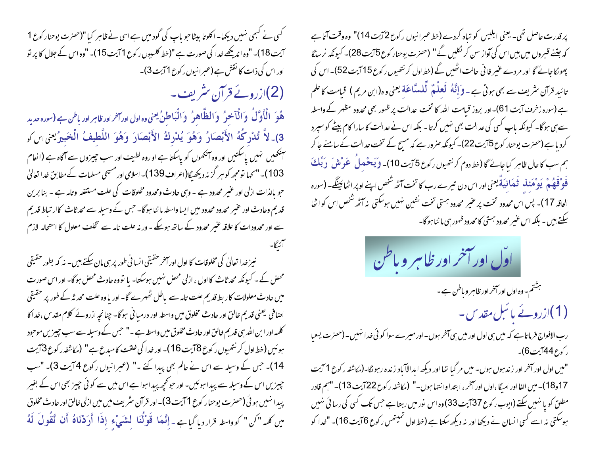کسی نے کسجی نہیں دیکھا۔ اکلوتا بیٹاحو باپ کی گود میں ہے اسی نے ظاہر کیا "(حسزت یوحنار کوع 1 آیت 18)۔ "وہ اندیکھے خدا کی صورت ہے "(خط کلسیوں ر کوع 1 آیت 15)۔ "وہ اس کے جلال کا پر نو اور اس کی ذات کا نقش ہے (عبر انیوں رکوع 1 آیت 3)۔ (2)ازروئے قرآن سٹریف۔

هُوَ الْأَوَّلُ وَالْآخِرُ وَالظَّاهِرُ وَالْبَاطِنُ يعني وه اول اورائز اور ظاہر اور باطن ہے (سورہ حدید 3)\_لاَّ تُدْرِكُهُ الأَبْصَارُ وَهُوَ يُدْرِكُ الأَبْصَارَ وَهُوَ اللَّطيفُ الْخَبيرُيِّنِ اللَّ ۔<br>سنگھیں نہیں پاسکتیں اور وہ آنکھوں کو پاسکتا ہے او روہ لطیف اور سب چیزوں سے آگاہ ہے (انعام 103)۔" کہا تومجھ کوہبر گزنہ دیکھیگا(اعراف 139)۔اسلامی اور مسیحی مسلمات کےمطابق خدا تعالیٰ حو بالذات ازلی اور عنیر محدود ہے - وہی حادث ومحدود مخلوقات کی علت مستقلہ وتامہ ہے - بنا برین قدیم وحادث اور عنیر محدود محدود میں ایسا واسطہ ما ننا ہوگا۔ جس کے وسیلہ سے محد ثاث کاار تباط قدیم سے اور محدودات کا علاقہ عنیر محدود کے ساتھ ہوسکے ۔ ور نہ علت نامہ سے تخلف معلول کا استحالہ لازم

نیز خدا تعالیٰ کی مخلوقات کا اول اور آخر حقیقی انسا فی طور پر ہی مان سکتے ہیں۔ نہ کہ بطور حقیقی محصٰ کے ۔ کیونکہ محد ثاث کا اول ، ازلی محصٰ نہیں ہوسکتا۔ یا تووہ حادث محصٰ ہوگا۔ اور اس صورت میں حادث معلولات کا ربط قدیم علت تاہہ سے باطل ٹھہرے گا- اور یا وہ علت محد نہ کے طور پر حقیقی اصافی یعنی قدیم خالق اور حادث مخلوق میں واسطہ اور درمیا فی ہوگا۔ چنانچہ ازروئے کلام مقدس ،خداکا کلمہ اور ابن اللہ ہی قدیم خالق اور حادث مخلوق میں واسطہ ہے ۔" حبس کے وسیلہ سے سب حبیر ٰ یں موحود ہوئیں (خط اول کر نتھیوں رکوع 8 آیت 16)۔ اور خدا کی خلقت کامبدع ہے " (مکاشفہ رکوع 3 آیت 14)۔ جس کے وسیلہ سے اس نے عالم بھی پیدا کئے ۔" (عبرانیوں رکوع 4آیت 3)۔ "سب جییزیں اس کے وسیلہ سے پیدا ہوئیں۔ اور حو کچھ پیدا ہوا ہے اس میں سے کوئی جییز بھی اس کے بغیر پیدا نهیں ہوئی (حصرت یوحنار کوع 1 آیت 3)۔ اور قرآن سثریف میں میں ازلی <sub>فا</sub>لن اور حادث مخلوق ميں كلمه "كن " كوواسطہ قرار ديا گيا ہے۔ إنَّهَا ۖ قَوْلُنَا ۖ لَشَيْء ۚ إِذَا ۖ أَرَدْنَاهُ ۖ أَن نَّقُولُ ۖ لَهُ

پر قدرت حاصل تھی۔ یعنی ابلیس کو تباہ کردے (خط عبرانیوں رکوع 2آیت 14)" وہ وقت آتا ہے کہ جتنے قبروں میں بیں اس کی آواز سن کر نکلیں گے" (حصرت یوحنار کوع 15بت 28)۔ کیونکہ نرسڈگا پھو لکا جائے گا اور مردے عنیر فا فی حالت اٹھیں گے (خط اول کر نتھیوں رکوع 15 آیت 52)۔ اس کی تائید قرآن سٹریف سے بھی ہوتی ہے ۔ وَإِنَّهُ لَعلْمٌ لَّللسَّاحَة یعنی وہ(ابن مریم ) قبامت کاعلم ہے (سورہ زخرف آیت 61)۔اور بروز قبامت اللہ کا تخت عدالت پر ظہور بھی محدود مظہر کے واسطہ سے ہی ہوگا۔ کیونکہ باپ کسی کی عدالت بھی نہیں کرتا - بلکہ اس نے عدالت کا سارا کام بیٹے کو سپرد کردیاہے(حصرت یوحنار کوع 5آیت 22)۔ کیونکہ صرور ہے کہ مسیح کے تخت عدالت کے سامنے جا کر ہم سب کا حال ظاہر کیا جائے گا (خط دوم کرنتھیوں رکوع 75بیت 10)۔ وَیَعشْدِلُ عَوْنِتُنَ ۚ دَبَّلْتَ فَوْقَعُهُمْ يَوْمَعَلْه قُعَانِيَةٌ يعني اور اس دن تبير بے رب كا تخت آٹھ شخص اپنے اوپر اٹھائپنگے۔ (سورہ الحاقه 17)۔ پس اس محدود تخت پر عنیر محدود ہستی تخت نشین نہیں ہوسکتی نہ آٹھ شخص اس کو اٹھا سکتے ہیں ۔ بلکہ اس عنیر محدود ہستی کامحدود ظهور ہی ما ننا ہو گا۔

شتم-وه اول اورآمخر اور ظاہر و باطن ہے -(1)ازروئے یا نبل مقد س ۔

رب الافواج فرماتا ہے کہ میں ہی اول اور میں ہی آخر ہوں۔ اور میرے سوا کو ئی خدا نہیں۔ (حصرت یسعیا ر کوع44آیت6)۔

"میں اول اور آخر اور زندہوں ہوں- میں مر گیا تھا اور دیکھ ابدالاآباد زندہ رہوںگا-(مکاشفہ رکوع 1 آیت 17و18)۔ میں الفا اور امیگا ،اول اور آخر ، ابتدا وا نتہا ہوں۔" (مکاشفہ رکوع 22آیت 13)۔ "ہم قادر مطلق کو یا نہیں سکتے (ایوب رکوع 37 آیت 33) وہ اس نور میں رہتا ہے جس تک کسی کی رسائی نہیں ہوسکتی نہ اسے کسی انسان نے دیکھا اور نہ دیکھ سکتا ہے (خط اول ٹمیتھس رکوع 6آیت 16)۔ "خدا کو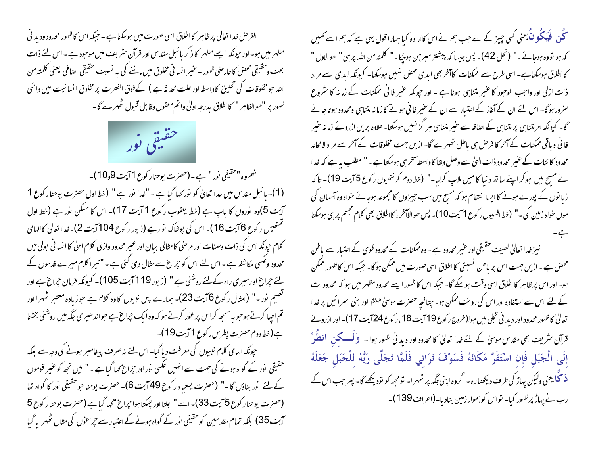الغرص خدا تعالیٰ پر ظاہر کا اطلاق اسی صورت میں ہوسکتا ہے ۔ حبکہ اس کا ظہور محدود ودید فی مظہر میں ہو۔ اور حپونکہ ایسے مظہر کا ذکر با ئبل مقدس اور قرآن سثریف میں موحبود ہے ۔اس لئے ذات بحت وحقيقي محض كاعارضي ظهور - عنير انسا في مخلوق ميں ماننے كى بہ نسبت حقيقى اصافى يعنى كلمته من الله حو مخلوقات کی تخلیق کاواسطہ اور علت محد نثہ ہے ) کےفوق الفطرت پر مخلوق انسانیت میں دائمی ظهور بر "حوالظاہر " کا اطلاق بدرجہ اولیٰ واتم معقول وقابل قسول ٹھہرے گا۔



نهم وہ "حقیقی نور" ہے۔ (حصرت یوحنار کوع 1 آیت 9و10)۔ (1)- ہائبل مقدس میں غدا تعالیٰ کو نور کہا گیا ہے - "غدا نور ہے " (خط اول حصرت یوحنا رکوع 1 آیت 5)وہ نوروں کا باپ ہے (خط یعقوب رکوع 1 آیت 17)۔ اس کا مسکن نور ہے (خط اول گمتھیس رکوع 6 آیت 16)۔ اس کی پوشاک نو رہے (زبور رکوع 104آیت 2)۔خدا تعالیٰ کاالہامی کلام حیونکه اس کی ذات وصفات اور مرحنی کامثالی بیان اور عنیر محدود وازلی کلام الهیٰ کا انسا فی بولی میں محدود وعکسی مکاشفہ ہے ۔اس لئے اس کو حجراع سے مثال دی گئی ہے ۔"تیرا کلام میرے قدموں کے لئے حیراع او رمیری راہ کے لئے روشنی ہے " (زبور 119 آیت 105)۔ کیونکہ فرمان حیراع ہے اور تعلیم نور -" (امثال رکوع 6آیت 23)۔ ہمارے پس نبیوں کاوہ کلام ہے حوزیادہ معتبر ٹھہرااور تم احیا کرتے ہو حویہ سمجھ کر اس پر عور کرتے ہو کہ وہ ایک حبراغ ہے حواندھیری جگہ میں روشنی بخشنا ہے(خط دوم حصرت پطرس رکوع 11یت19)۔

حپونکہ الہامی کلام نبیوں کی معرفت دیا گیا- اس لئے نہ صرف پیغامبر ہونے کی وجہ سے بلکہ حقیقی پور کے گواہ ہونے کی جہت سے انہیں عکسی پور اور حیراع <sub>ک</sub>ھا گیا ہے ۔" میں تجھ کو عنیر قوموں کے لئے نور بناؤں گا۔" (حصرت یسعیاہ رکوع 49 آیت 6)۔ حصرت یوحناحو حقیقی نور کا گواہ تعا (حصرت یوحنار کوع 5آیت 33)۔اسے " جلتا اور جمکتا ہوا حپراغ "کھا گیاہ (حصرت یوحنار کوع 5 آیت 35) بلکہ تمام مقدسین کوحقیقی نور کے گواہ ہونے کے اعتیار سے جراعوں کی مثال ٹھہرایا گیا

کُن فَیَکُونَ یعنی کسی چیز کے لئے جب ہم نے اس کاارادہ کیا ہمارا قول یہی ہے کہ ہم اسے کھیں کہ ہو تووہ ہوجائے۔" (نحل 42)۔ پس جیسا کہ پیشنتر میبر بن ہوجکا۔" کلمتہ من اللہ پر بن " ھوالاول " کا اطلاق ہوسکتاہے۔ اسی طرح سے ممکنات کاآخر بھی ابدی محض نہیں ہوسکتا۔ کیونکہ ابدی سے مراد ذات ازلی اور واحب الوحبود کا عنیر متناہی ہونا ہے - اور حیونکہ عنیر فا فی ممکنات کے زمانہ کا سٹروع صرور ہو گا۔ اس لئے ان کے آغاز کے اعتبار سے ان کے عنیر فا ٹی ہونے کا زما نہ متناہی ومحدود ہوتا جائے گا۔ کیونکہ امر متناہی پر متناہی کے اصافہ سے عنیر متناہی ہر گز نہیں ہوسکتا۔ علاوہ بریں ازروئے زما نہ عنیر فا فی ویاقی ممکنات کے آخر کا فرص ہی باطل ٹھہرے گا۔ ازیں جہت مخلوقات کے آخر سے مراد لامحالہ محدود کا ئنات کے عنیر محدود ذات الہیٰ سے وصل ولقا کا واسطہ آخر ہی ہوسکتا ہے ۔" مطلب یہ ہے کہ خد ا نے مسح میں ہوکر اپنے ساتھ د نیا کامیل ملاپ کرایا۔" (خط دوم کرنتھیوں رکوع 5 آیت 19)۔ تاکہ زیا نوں کے پورے ہونے کا ایسا انتظام ہو کہ مسح میں سب چیزوں کا مجموعہ ہوجائے حواہ وہ آسمان کی ہوں حواہ زمین کی ۔" (خط افسیوں رکوع 1 آیت 10)۔ پس ھوالاآخر، کااطلاق بھی کلام مجسم پر ہی ہوسکتا

نیز خدا تعالیٰ لطیف حقیقی اور عنیر محدود ہے - وہ ممکنات کے محدود قویٰ کے اعتیار سے پاطن محصٰ ہے۔ازیں جہت اس پر باطن نسبتی کااطلاق اسی صورت میں ممکن ہوگا۔ جبکہ اس کاظہور ممکن ہو۔ اور اس پر ظاہر کا اطلاق اسی وقت ہوسکے گا۔ جبکہ اس کا ظہور ایسے محدود مظہر میں ہو کہ محدود ات کے لئے اس سے استفادہ اور اس کی روئت ممکن ہو۔ چنانچہِ حصرت موسیٰ ﷺ اور بنی اسرائیل پر خدا تعالیٰ کاظہور محدود اور دید نی تجلی میں ہوا(خروج رکوع 19 آیت 18 ، رکوع 24 آیت 17)۔ اور ازروئے قرآن سٹریف بھی مقدس موسیٰ کے لئے خدا تعالیٰ کا محدود اور دید فی ظهور ہوا ۔ وَلَــــکن انظُوْ إِلَى الْجَبَلِ فَإِن اسْتَقَرَّ مَكَانَهُ فَسَوْفَ تَرَانِي فَلَمَّا تَجَلَّى رَبُّهُ لِلْجَبَلِ جَعَلَهُ **دَ گُایع**نی ولیکن پہاڑ کی طرف دیکھتارہ ۔اگروہ اپنی جگہ پر ٹھہرا۔ تومجھ کو تودیکھے گا۔ پھر جب اس کے رب نے پہاڑ پر ظہور کیا۔ تواس کو ہموار زمین بنادیا۔(اعراف139)۔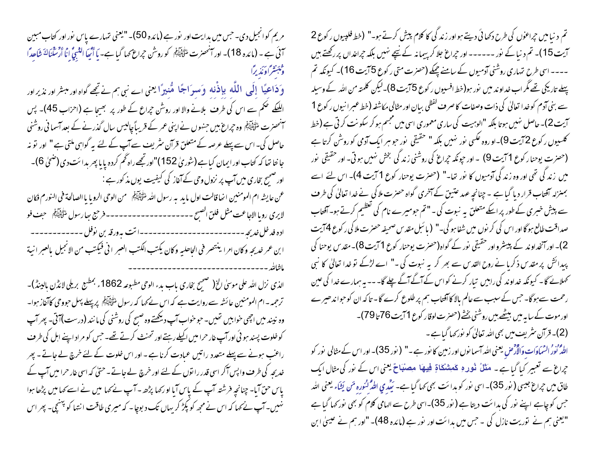مریم کوانجیل دی۔ جس میں ہدایت اور نور ہے (مائدہ 50)۔ "یعنی تہارے پاس نور اور کتاب مبین سمْنَ ہے ۔ (مائدہ 18)۔ اور سنحصرت ملتَّ يَقِيَّتُهُم كو روشْن حبراغ <sub>ك</sub>ما گيا ہے۔ يا أُنَّيعَا النَّبيُّ إنَّا أرشكناك شَاحِدًا وفبتشر أونذيرا

وَدَاعِيًا إِلَى اللَّهِ بِإِذْنِهِ وَسِوَاجًا مُّنِيرًا يعني اے نبي ہم نے تجھے گواہ اور مبشر اور نذيراور اللککے ضکم سے اس کی طرف بلانے والا اور روشن حجراع کے طور پر بھیجا ہے (احزاب 45)۔ پس ۔<br>اسمحضرت ملٹی ایم وہ جراع ہیں جنہوں نے اپنی عمر کے قریباً چالیس سال گذرنے کے بعد آسما فی روشنی حاصل کی۔اس سے پہلے عرصہ کے متعلق قرآن سثر بیٹ سے آپ کے لئے یہ گواہی ملتی ہے" اور تو نہ جا نتا تھا کہ کتاب اور ایمان کیاہے(شوریٰ 152)"اور تجھے راہ ٹھم کردہ پایا پھر بدائت دی(ضحٰیٰ 6)۔ اور صحیح بخاری میں آپ پر نزول وحی کے آغاز کی کیفیت یوں مذکور ہے : عن عايشه ام المومنين انحا قالت اول ما يدبه رسول الله منتَّ يُبَيِّنَ من الوحي الرويا يا الصالحة في النورم فكان لايرى رويا الاجاعت مثل فلق الصبح --------------------- فرحيع بعارسول منتجئيتَنِه – حبف فو اده فد خل *خدیجه -----------------------*-اتت به ورقه بن نوفل -------------ابن عمر خديجه وكان امرا ينتصر في الحاصليه وكان يكتب الكتب العبر اني فيكتب من الانجيل بالعبر انية 

الذي نزل الله على موسىٰ الخ( صَحِيح بِخاري باب بدء الوحي مطبوعه 1862ء بمطبع بريلي لائڈن بالبنڈ)-ترحمہ – ام المومنین عائشہ سے روایت ہے کہ اس نے کہا کہ رسول ﷺ پر پہلے پہل حووحی کاآغاز ہوا۔ وہ نہیںد میں اچھی خوابیں تھیں۔ حبو خواب آپ دیکھتے وہ صبح کی روشنی کی ما نند (درست)آتی۔ پھر آپ کوخلوت پسند ہو ئی اور آپ غار حرا میں اکیلے رہتے اور تحنث کرتے تھے۔ حس کو مراد اپنے اہل کی طرف راعب ہونے سے پہلے متعدد راتیں عمادت کرنا ہے ۔ اور اس خلوت کے لئے خرچ لے جاتے ۔ پھر خدیجہ کی طرف واپس آکر اسی قدر را نوں کے لئے اور خرچ لے جاتے۔حتیٰ کہ اسی غار حرا میں آپ کے یاس حق آیا۔ جنانحہ فرشتہ آپ کے پاس آیا او رکھا پڑھ ۔ آپ نے کھا میں نے اسے کھامیں پڑھا ہوا نہیں۔آپ نے <sub>ک</sub>ہا کہ اس نے مجھ کو پکڑ کریہاں تک د بوچا۔ کہ میری طاقت انتہا کو <sup>پہن</sup>چی۔ پھر اس

تم د نیامیں حِراعوٰں کی طرح دکھائی دیتے ہواور زند کی کا کلام پیش کرتے ہو۔" (خط فلپیوں رکوع 2 آیت 15)۔ تم د نیا کے نور ------ اور حیراع جلا کر پیمانہ کے نیچے نہیں بلکہ حیراعداں پر رکھتے ہیں ۔۔۔۔ اسی طرح متہاری روشنی آدمیوں کے سامنے چیکے (حصرت متی رکوع 5 آیت 16)۔ کیونکہ تم پہلے تاریکی تھے مگر اب خداوند میں نور ہو(خط افسیوں رکوع 5 آیت 8)۔لیکن کلمتہ من اللہ کے وسیلہ سے بنی آدم کوخدا تعالیٰ کی ذات وصفات کا صرف گفظی بیان اور مثالی مکاشفہ (خط عبرانیوں رکوع 1 آیت 2)۔حاصل نہیں ہوتا بلکہ "اِلوہیت کی ساری معموری اسی میں مجسم ہو کر سکونت کرتی ہے (خط کلسیوں رکوع 72یت 9)۔او روہ عکسی نور نہیں بلکہ " حقیقی نور حبو ہر ایک آدمی کو روشْن کرتا ہے (حصرت یوحنار کوع 1 آیت 9) ۔اور حیونکہ حیراغ کی روشنی زند گی بخش نہیں ہوتی۔اور حقیقی نور میں زندگی تھی اور وہ زند کی آدمیوں کا نور تھا۔" (حصرت یوحنار کوع 1 آیت 4)۔ اس لئے اسے بمنزلہ آفتاب قرار دیا گیا ہے ۔چنانچہِ عہد عتیق کے آخری گواہ حصرت ملا کی نے <sub>ف</sub>یدا تعالیٰ کی طرف<br>۔ سے پیش خبری کے طور پر اسکے متعلق یہ نبوت کی۔"تم حومیرے نام کی تعظیم کرتے ہو۔آفتاب صداقت طالع ہو گا اور اس کی کر نوں میں شفا ہو گی۔" ( با ئبل مقد س صحیفہ حصرت ملا کی ر کوع 4 آیت 2)۔ اور آنخداو ند کے پیسٹرواور حقیقی نور کے گواہ(حصرت یوحنار کوع 1 آیت 8)۔ مقد س یوحنا کی پیدائش پر مقدس ذکریا نے روح القدس سے بھر کر یہ نبوت کی ۔" اے لڑکے تو خدا تعالیٰ کا نبی کھلائے گا۔ کیونکہ خداوند کی راہیں تیار کرنے کواس کے آگے آگے چلے گا۔۔۔ یہ ہمارے خدا کی عین رحمت سےہوگا۔ حس کے سبب سے عالم بالا کا آفتاب ہم پر طلوع کرے گا۔ تاکہ ان کوحوا ندھیرے اور موت کے سا ہہ میں بیٹھے ہیں روشنی بخشے (حصرت لوقار کوع 71یت 76 تا 79)۔ (2)۔ قرآن سٹریف میں بھی اللہ تعالیٰ کو نور <sub>ک</sub>ما گیا ہے۔

اللهُ نُورْ السَّمَاوَاتِ وَالْأَرْضِ يعني الله آسما نوں اور زمین کا نور ہے ۔" ( نور 35)۔ اور اس کے مثالی نور کو حِراغ سے تعبیر کیا گیاہے۔ مَثَلُ فُور وِ مَعِشْکَاةٍ فِيهِهَا مِصنْبَاحٌ یعنی اس کے نور کی مثال ایک طاق میں حیراع جیسی ( نور 35)۔ اسی نور کو ہدائت بھی <sub>ک</sub>ما گیا ہے۔ ٹی**ٹی**ر می الٹڈ کٹورہ مَن یَشَاء یعنی ا<sub>لٹی</sub>ر جس کو چاہے اپنے نور کی ہدائت دیتا ہے ( نور 35)۔اسی طرح سے الہامی کلام کو بھی نور کھا گیا ہے "یعنی ہم نے یقوریت نازل کی ۔جس میں ہدائت اور یفور ہے (مائدہ 48)۔ "اور ہم نے عیسیٰ ابن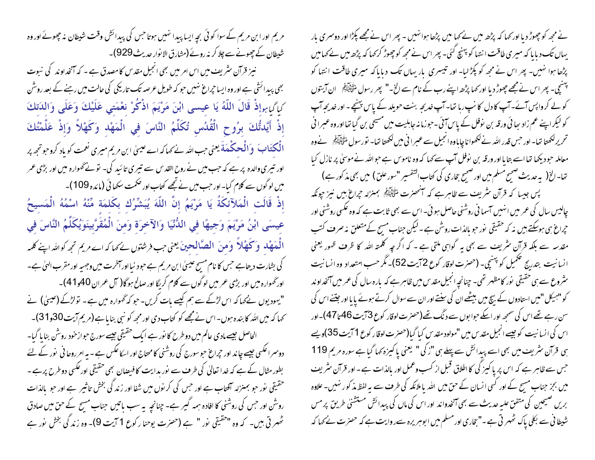مریم اور ابن مریم کے سوا کوئی بچہ ایسا پبدا نہیں ہوتا حس کی پبدائش وقت شیطان نہ چھوٹے اور وہ شیطان کے چھونے سے چلا کر نہ روئے (مشارق الا نوار حدیث 929)۔

نیز قرآن سٹریف میں اس امر میں بھی انجیل مقدس کامصدق ہے ۔ کہ آنخداوند کی نبوت بھی پیدائشی ہے اور وہ ایسا جراع نہیں حو کہ طویل عرصہ تک تاریکی کی حالت میں رہنے کے بعد روشن كِإِكْبِابِهِإِذْ قَالَ اللَّهُ يَا عِيسى ابْنَ مَرْيَمَ اذْكُرْ نِعْمَتِي عَلَيْكَ وَعَلَى وَالدَتكَ إِذْ أَيَّدتُّكَ بِرُوحٍ الْقُدُسِ تُكَلِّمُ النَّاسَ فِي الْمَهْدِ وَكَهْلاً وَإِذْ عَلَّمْتُكَ الْکتَابَ ۖ وَالْحِکْمَةَ یعنی حب الله نے کہا کہ اے عیسیٰ ابن مریم میری نعمت کو باد کروجو تحمہ پر اور تبیری والدہ پر ہے کہ جب میں نے روح القد س سے تبیری تا ئید کی۔ تو نے گھوارہ میں اور بڑی عمر میں لوگوں سے کلام کیا۔اور جب میں نے تجھے کتاب اور صحمت سکھا ئی (مائدہ 109)۔ إِذْ قَالَتِ الْمَلآئِكَةُ يَا مَرْيَمُ إِنَّ اللّهَ يُبَشِّرُكِ بِكَلِمَةٍ مِّنْهُ اسْمُهُ الْمَسِيحُ عِيسَى ابْنُ مَرْيَمَ وَجِيهًا فِي الدُّنْيَا وَالآخِرَةِ وَمِنَ الْمُقَرَّبِينَوَيُكَلِّمُ النَّاسَ فِي الْعَهْلُه وَكَهْلاً وَمنَ الصَّالِحينَ يعني حب فرشتوں نے مما كه اے مريم تجھ كوالله اپنے كلمه کی بشارت دیتاہے جس کا نام مسیح عیسیٰ ابن مریم ہے حود نیا اور آخرت میں وجہیہ اور مقرب الهیٰ ہے۔ اور گھوارہ میں اور بڑی عمر میں لو گوں سے کلام کریگا اور صالح ہو گا( آل عمران 40و41)۔ "یہودیوں نے <sub>ک</sub>ہا کہ اس لڑکے سے ہم کیسے بات کریں۔ حبو کہ گھوارہ میں ہے۔ تولڑکے (عیسیٰ) نے کھا کہ میں اللہ کا بندہ ہوں۔اس نے مجھے کو کتاب دی اور مجھ کو نبی بنایاہے(مریم آیت 30و31)۔ الحاصل جیسے مادی عالم میں دو طرح کا نور ہے ایک حقیقی جیسے سورج حبواز خود روشن بنا یا گیا۔ دوسمرا عکسی جیسے جاند اور جراع حبوسورج کی روشنی کامحتاج اور اسکاعکس ہے ۔ بہ امر روحا فی نور کے لئے بطور مثال کے ہے کہ خدا تعالیٰ کی طرف سے نور بدایت کا فیصان بھی حقیقی اورعکسی دوطرح پرہے ۔ حقیقی نور حبو بمنزلہ آفتاب ہے اور حس کی کرنوں میں شفا اور زند کی بخش تاثیر ہے اور حبو بالذات روشن اور حس کی روشنی کا افادہ ہمہ گیر ہے۔ چنانچہ یہ سب باتیں حناب مسیح کے حق میں صادق ٹھهر تی ہیں۔ کہ وہ "حقیقی نور " ہے (حصرت یوحنا رکوع 1 آیت 9)۔ وہ زند گی بخش نور ہے

نے مجھ کو چھوڑ دیا اور کہا کہ پڑھ میں نے کہا میں پڑھا ہوائنہیں - پھر اس نے مجھے پکڑا اور دوسمری بار یہاں تک دبایا کہ میری طاقت انتہا کو پہنچ گئی۔ پھر اس نے مجھ کو چھوڑ کر <sub>ک</sub>ہا کہ پڑھ میں نے <sub>کھا</sub>میں پڑھا ہوا نہیں۔ پھر اس نے مجھ کو پکڑ لیا- اور تیسری باریہاں تک دبایاکہ میری طاقت انتہا کو پہنچی۔ پھر اس نے مجھے چھوڑ دیا اور کھا پڑھ اپنے رب کے نام سے الخ۔" پھر رسول التَّالِيَّاتُم ان آيتوں کو لے کرواپس آئے۔آپ کا دل کا سپ رہا تھا۔آپ خدیجہ بنت حویلد کے پاس پہنچے۔اور خدیجہ آپ کو لیکر اپنے عم زاد سا ئی ورقہ بن نوفل کے پاس آئی ۔حوزما نہ جاہلیت میں مسیحی بن گیا تھا اور وہ عبرا نی تحریر لکھتا تھا۔ اور حس قدر اللہ نے لکھوا نا چاہاوہ انجیل سے عسرا نی میں لکھتا تھا۔ نورسول الٹی ایک نے وہ معاملہ حبود پکھا تھا اسے بتایا اور ورقہ بن نوفل آپ سے کہا کہ وہ ناموس ہے حبواللہ نے موسیٰ پر نازل کیا تعا- الخ( یہ حدیث ضمیح مسلم میں اور ضمیح بخاری کی کتاب اکتفسیر "سور علق) میں بھی مذ کور ہے) پس جیسا کہ قرآن نثریف سے ظاہرہے کہ آنٹھنرت لٹی ایکم بمنزلہ جراع ہیں نیز جونکہ چالیس سال کی عمر میں انہیں آسما فی روشنی حاصل ہو ئی۔ اس سے بھی ثابت ہے کہ وہ عکسی روشنی اور ح<sub>ب</sub>راغ ہی ہوسکتے ہیں نہ کہ حقیقی نور حو بالذات روشن ہے ۔لیکن جناب مسیح کے متعلق نہ صرف کتب مقدسہ سے بلکہ قرآن سٹریف سے بھی یہ گواہی ملتی ہے ۔ کہ اگر چہ کلمتہ اللہ کا ظرف ظہور یعنی انسانیت بتدریج تحکمیل کو پهنچی- (حصرت لوقار کوع 72یت 52)۔ مگر حسب امتعداد وہ انسانیت سٹروع سے ہی حقیقی نور کامظہر تھی۔ چنانچہ انجیل مقدس میں ظاہر ہے کہ بارہ سال کی عمر میں آنخداوند کو "ہیکل "میں اس<sub>ت</sub>ادوں کے بیچ میں بیٹھے ان کی سفتے اور ان سے سوال کرتے ہوئے <sub>پای</sub>ا اور جتنے اس کی سن رہے تھے اس کی سمجھ اور ایکے حوا بوں سے د نگ تھے(حصرت لوقار کوع 3 آیت 46 تا 47)۔اور اس کی انسانیت کوچیے انجیل مقدس میں "مولود مقدس کیا گیا(حصرت لوقار کوع 1 آیت 35)ویے ہی قرآن سٹریف میں بھی اسے پیدائش سے پہلے ہی "ز کی" یعنی پاکپزہ کہا گیا ہے سورہ مریم 119 جس سے ظاہر ہے کہ اس پر یا کیز کی کااطلاق قبل از کسب وعمل اور بالذات ہے۔اور قرآن سٹریف میں بجز جناب مسیح کے اور کسی انسان کے حق میں اللہ یا ملائکہ کی طرف سے یہ لفظ مذ کو رہنیں۔علاوہ بریں صیحین کی متفق علیہ حدیث سے بھی آنخدواند اور اس کی ماں کی پیدائش مستشنی طریق پر مس شیطا فی سے بکلی پاک ٹھہر تی ہے ۔"بخاری اور مسلم میں ا بوہریرہ سےر وایت ہے کہ حصرت لے کھا کہ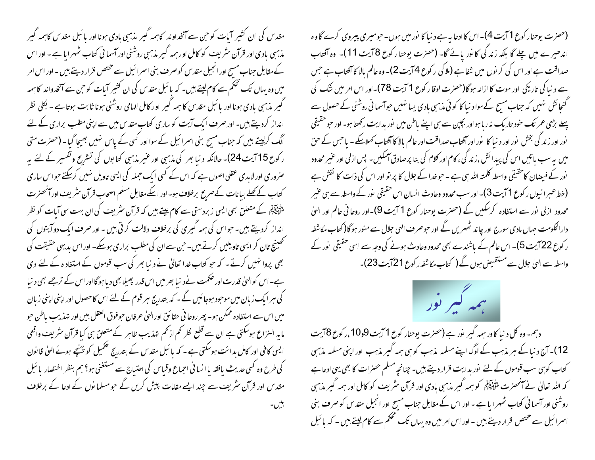مقد س کی ان کشیر آبات کو حن سے آنخداوند کاہمہ گیر مذہبی بادی ہونا اور بائبل مقدس کاہمہ گیر مذہبی بادی اور قرآن سثریف کو کامل او رہمہ گیر مذہبی روشنی اور آسما فی کتاب ٹھہرایا ہے ۔ اور اس کے مقابل جناب مسبح اور انجیل مقدس کوصرف بنی اسمرائیل سے مختص قرار دیتے ہیں ۔اور اس امر میں وہ یہاں تک تحکم سے کام لیتے ہیں۔ کہ با ئبل مقدس کی ان کشیر آیات کو حن سے آنخدواند کا ہمہ گیپر مذہبی بادی ہونا اور پائبل مقدس کا ہمہ گیبر اور کامل الہامی روشنی ہونا ثابت ہوتا ہے ۔ بکلی نظر انداز کردیتے ہیں۔اور صرف ایک آیت کو ساری کتاب مقدس میں سے اپنی مطلب براری کے لئے الگ کرلیتے ہیں کہ جناب مسج بنی اسرائیل کے سوااور کسی کے پاس نہیں بھیجا گیا۔ (حصرت متی ر کوع 15 آیت 24)۔ حالانکہ د نیا بھر کی مذہبی اور عنیر مذہبی کتابوں کی تسٹرنح وتفسیر کے لئے بہ حنروری اور لایدی عقلی اصول ہے کہ اس کے کسی ایک جملہ کی ایسی تاویل نہیں کرسکتے حواس ساری کتاب کے کھلے بیانات کے صریح برخلاف ہو۔اور اسکے مقابل مسلم اصحاب قرآن سثریف اور آنحصرت طرُّ ایک ایک متعلق بھی ایسی زبردستی سے **کام لیتے ہی**ں کہ قرآن <sup>م</sup>ثر یف کی ان بہت سی آیات کو نظر انداز کردیتے ہیں۔ حبواس کی ہمیہ گیری کی برخلاف دلالت کرتی ہیں ۔ اور صرف ایک دو آیتوں کی تحصینچ تان کر ایسی تاویلیں کرتے ہیں۔ حن سے ان کی مطلب براری ہوسکے۔ اور اس مدیهی حقیقت کی بھی پروا نہیں کرتے۔ کہ حبو کتاب خدا تعالیٰ نے دینا بھر کی سب قوموں کے استفاد ہ کے لئے دی ہے۔اس کو الہیٰ قدرت اور صحمت نےد نبا بھر میں اس قدر پھیلا بھی دیا ہوگااور اس کے ترجے بھی د نبا کی ہر ایک زبان میں موحود ہوجائیں گے ۔ کہ بتدریج ہر قوم کے لئے اس کا حصول اور اپنی اپنی زبان میں اس سے استفادہ ممکن ہو۔ پھر روحا فی حقائق اورالہیٰ عرفان حوفوق العقل بیں اور تہذیب باطن حبو مابہ النزاع ہوسکتی ہے ان سے قطع نظر تھم از تھم تہذیب ظاہر کے متعلق ہی کیا قرآن سثریف واقعی ایسی کافی اور کامل ہدائت ہوسکتی ہے۔ کہ پائبل مقدس کے بتدریج تکمیل کو پہنچے ہوئے الہیٰ قانون کی طرح وہ کسی حدیث یافقہ یا انسا فی احماع وقباس کی احتیاج سے مستغنی ہو؟ ہم بنظر اختصار پائبل مقدس اور قرآن سٹریف سے چند ایسے مقامات پیش کریں گے حبومسلمانوں کے ادعا کے برخلاف يبن

(حصرت یوحنار کوع 1 آیت 4)۔ اس کا ادعا ہیہ ہے د نیا کا پوٰر میں ہوں۔ حبومیری پیروی کرے گاوہ اندھیرے میں چلے گا بلکہ زند گی کا نور پائے گا- (حصرت یوحنا رکوع 8 آیت 11)- وہ آفتاب صداقت ہے اور اس کی کر نوں میں شفا ہے (ملا کی رکوع 74یت 2)۔ وہ عالم بالا کا آفتاب ہے جس سے د نبا کی تاریکی اور موت کا ازالہ ہوگا(حصرت لوقا ر کوع 1 آیت 78)۔اور اس امر میں شک کی گنجائش نہیں کہ جناب مسح کےسواد نیا کا کوئی مذہبی بادی یسا نہیں حواسما فی روشنی کے حصول سے پہلے بڑی عمر تک حنود تاریک نہ ربامہو اور بچپن سے ہی اپنے ماطن میں نور بدایت رکھتا ہو۔ اور حبو حقیقی نور اور زندگی بخش نور اور د نیا کا نور اور آفتاب صداقت اور عالم بالا کا آفتاب کھلاسکے ۔ ما حس کے حن میں ہے سب پاتیں اس کی پیدائش ،زند گی ، کام اور کلام کی بنا پرصادق ہمکیں۔ پس ازلی اور عنیر محدود نور کے فیصان کاحقیقی واسطہ کلمتہ اللہ ہی ہے ۔ حبو خدا کے جلال کا پر تو اور اس کی ذات کا نقش ہے (خط عبرانیوں رکوع 1 آیت 3)۔ اور سب محدود وحادث انسان اس حقیقی پور کے واسطہ سے ہی عنیر محدود ازلی نور سے استفادہ کرسکیں گے (حصرت یوحنار کوع 1 آیت 9)۔اور روحانی عالم اور الهیٰ دارالحکومت حہاں مادی سورج اور چا ند ٹھہریں گے اور حبو صر ف الهیٰ جلال سے منور ہو گا( کتاب مکاشفہ ر کوع 22 آیت 5)۔ اس عالم کے باشندے بھی محدود وحادث ہونے کی وجہ سے اسی حقیقی نور کے واسطہ سے الہیٰ جلال سے مستفیض ہوں گے ( کتاب مکاشفہ رکوع 21 آیت 23)۔



دہم۔ وہ کل د نیا کاور ہمہ گیر پور ہے (حصرت یوحنار کوع 1 آیت 9و10،رکوع 8آیت 12)۔ آج د نیا کے ہر مذہب کے لوگ اپنے مسلمہ مذہب کو ہی ہمہ گیر مذہب اور اپنی مسلمہ مذہبی کتاب کوہی سب قوموں کے لئے نور ہدایت قرار دیتے ہیں۔چنانچہ مسلم حصرات کا بھی یہی ادعا ہے کہ اللہ تعالیٰ نے آنحصرت اللّٰہ ﷺ کو ہمہ گیر مذہبی بادی اور قرآن سٹریف کو کامل اور ہمہ گیر مذہبی روشنی اور آسما فی کتاب ٹھہرا یا ہے ۔ اور اس کے مقابل جناب مسح اور انجیل مقدس کو صرف بنی اسمرائیل سے مختص قرار دیتے ہیں - اور اس امر میں وہ یہاں تک محکم سے کام لیتے ہیں - کہ بائبل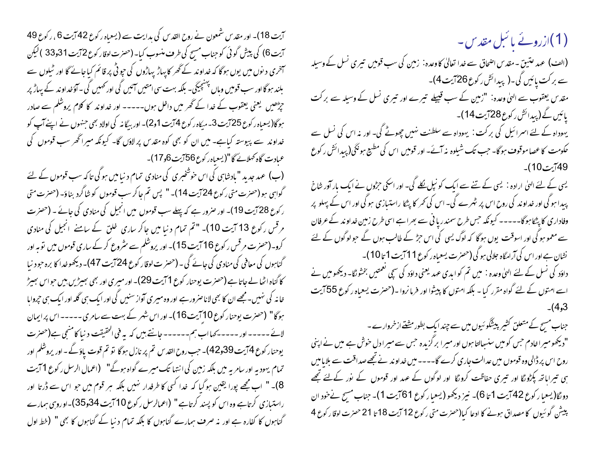آیت 18)۔ اور مقدس شمعون نے روح القدس کی ہدایت سے (یسعیاہ رکوع 42آیت 6 ، رکوع 49 آیت 6) کی پیش گوئی کوجناب مسح کی طرف منسوب کیا۔ (حصرت لوقار کوع 2آیت 31و33 ) لیکن سمخری دیوں میں یوں ہوگا کہ خداوند کے ٹھر کا پہاڑ پہاڑوں کی جو ٹی پر قائم کیاجائے گا اور ٹیلوں سے بلند ہو گا اور سب قومیں وباں پہنچیگی۔ بلکہ بہت سی امتیں آئیں گی اور ٹھیں گی ۔آؤ خداوند کے پہاڑ پر جڑھیں یعنی یعقوب کے خدا کے ٹھر میں داخل ہوں۔۔۔۔۔ اور خداوند کا کلام پروشلم سے صادر ہوگا(یسعباہ ر کوع 25 آیت 3۔میکاہ ر کوع 4 آیت 1و2)۔ اور بیگا نہ کی اولاد بھی حنہوں نے اپنے آپ کو خداوند سے پیوستہ کیاہے۔ میں ان کو بھی کوہ مقدس پر لاؤں گا۔ کیونکہ میراٹھر سب قوموں کی عمادت گاہ کھلائے گا"(یسعباہ رکوع 56آیت 6و17)۔

(ب) عہد جدید " بادشاہی کی اس خوشخبری کی منادی تمام د نیامیں ہوگی تاکہ سب قوموں کے لئے گواہی ہو (حصرت متی رکوع 24 آیت 14)۔ " پس تم جاکر سب قوموں کو شاگرد بناؤ۔ (حصرت متی ر کوع 28 آیت 19)۔ اور صرور ہے کہ پہلے سب قوموں میں انجیل کی منادی کی جائے ۔ (حصرت مرقس رکوع 13 آیت 10)۔ "تم تمام دنیا میں جاکر ساری ِ غلق کے سامنے ِ انجیل کی منادی کرو۔(حصرت مرقس رکوع 16 آیت 15)۔ اور پروشلم سے سٹروع کر کے ساری قوموں میں توبہ اور گناہوں کی معافی کی منادی کی جائے گی ۔ (حصر ت لوقار کوع 24 آیت 47)۔ دیکھو غدا کا برہ حبو د نیا کا گناہ اٹھا لے جاتا ہے (حصرت یوحنار کوع 1 آیت 29)۔ اور میری اور بھی سِیٹریں بیں حواس سِیٹر خانہ کی نہیں۔مجھے ان کا بھی لاناصرورہے اور وہ میری آواز سنیں کی اور ایک ہی گلہ اور ایک ہی چروایا ہوگا" (حصرت یوحنار کوع 10 آیت 16)۔ اور اس شہر کے بہت سے سامری۔۔۔۔۔اس پرایمان لائے ۔۔۔۔۔ اور ۔۔۔۔۔ کہا اب ہم۔۔۔۔۔۔ جانتے ہیں کہ یہ فی الحقیقت د نیا کامنٹجی ہے(حصرت یوحنار کوع 4 آیت 39و42)۔ حب روح القدس تم پر نازل ہوگا تو تم قوت یاؤ گے۔اور یروشکم اور تمام یہودیہ اور سامریہ میں بلکہ زمین کی انتہا تک میرے گواہ ہوگے" (اعمال الرسل رکوع 1 آیت 8)۔ " اب مجھے پورا یقین ہوگیا کہ خدا کسی کا طرفدار نہیں بلکہ ہر قوم میں حبو اس سے ڈرتا اور راستیازی کرتاہے وہ اس کو پسند کرتاہے " (اعمالرسل رکوع 10 آیت 34و35)۔او روہی ہمارے گناہوں کا کفارہ ہے اور نہ صرف ہمارے گناہوں کا بلکہ تمام دنیا کے گناہوں کا بھی " (خط اول

(1)ازروئے پائبل مقدس۔

(الف) عہد عتیق - مقدس اصحاق سے خدا تعالیٰ کاوعدہ: زمین کی سب قومیں تیری نسل کے وسیلہ سے برکت پائیں کی۔(پیدائش رکوع26آیت4)۔ مقدس یعقوب سے الہیٰ وعدہ: "زمین کے سب قبیلے تیرے اور تیری نسل کے وسیلہ سے بر کت

پائیں گے (پیدائش رکوع28آیت 14)۔

یہوداہ کے لئے اسمرائیل کی برکت : یہوداہ سے سلطنت نہیں چھوٹے گی۔ اور نہ اس کی نسل سے حکومت کا عصا موقوف ہوگا۔ جب تک شیلوہ نہ آئے۔ اور قومیں اس کی مطیع ہونگی(پیدائش رکوع 49 آيت10)۔

یسی کے لئے الہیٰ ارادہ : یسی کے تنے سے ایک کو نبل لکلے گی۔ اور اسکی حرُثوں نے ایک بار آور شاخ پبیدا ہو گی اور خداوند کی روح اس پر شمرے گی۔ اس کی <sub>ت</sub>حر کا پٹکا راستبازی ہو گی اور اس کے پہلو پر وفاداری کا پٹکاہوگا۔۔۔۔۔ کیونکہ جس طرح سمند ریا ٹی سے بھراہے اسی طرح زمین خداوند کے عرفان سے معمو ہو گی اور اسوقت یوں ہو گا کہ لوگ یسی کی اس حز<sup>ی</sup>ر کے طالب ہوں گے جو لوگوں کے لئے نشان ہے اور اس کی آرامگاہ جلالی ہو گی (حصرت یسعباہ ر کوع 11 آیت 1 تا 10)۔ ِ داؤد کی نسل کے لئے الہیٰ وعدہ : میں تم کو ابدی عہد یعنی داؤد کی سچی تعمتیں بخشوںگا- دیکھو میں نے اسے امتوں کے لئے گواہ مقرر کیا - بلکہ امتوں کا پیشوا اور فرما نروا -(حصرت یسعیاہ رکوع 55 آیت

جناب مسح کے متعلق کشیر پیشگو ئیوں میں سے چند ایک بطور مشقے از خروارے۔ "دیکھومیرا خادم جس کومیں سنسجالتا ہوں اور میرا بر گزیدہ جس سے میرا دل خوش ہے میں نے اپنی روح اس پر ڈالی وہ قوموں میں عدالت جاری کرے گا۔۔۔۔ میں خداو ند نے تجھے صداقت سے بلایامیں ہی تیراباتھ پکڑو گا اور تیری حفاظت کروگا اور لوگوں کے عہد اور قوموں کے نور کےلئے تجھے دو گا(یسعبار کوع 42 آیت 1 تا 6)۔ نیز دیکھو (یسعبار کوع 61 آیت 1)۔ جناب مسح نےخود ان پیش گوئیوں کا مصداق ہونے کا ادعا کیا(حصرت متی رکوع 12 آیت 18 تا 21 حصرت لوقا رکوع 4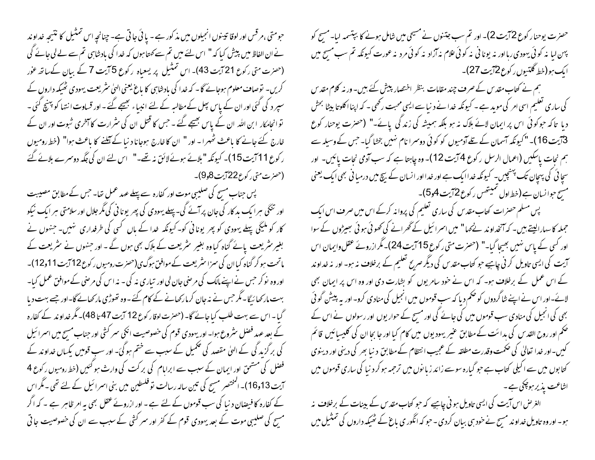حصرت یوحنار کوع 2 آیت 2)۔ اور تم سب جتنوں نے مسیحی میں شامل ہونے کا بپتسمہ لیا۔ مسیح کو پهن لبا نه کوئی بهودی ربااور نه یونا فی نه کوئی علام نه آزاد نه کوئی مرد نه عورت کیونکه تم سب مسح میں ایک ہو(خط گلتیوں رکوع2آیت 27)۔

ہم نے کتاب مقدس کے صرف چند مقامات بنظر اختصار پیش کئے ہیں۔ور نہ کلام مقدس کی ساری تعلیم اسی امر کی موید ہے ۔ کیونکہ خدا نے د نیا سے ایسی محبت رکھی ۔ کہ اپنااکلوتا بیٹا بحش دیا ِ تاکہ حوکوئی اس پر ایمان لائے ہلاک نہ ہو بلکہ ہمیشہ کی زند گی پائے۔" (حصرت یوحنار کوع 3ْ يْتِ 16)۔ "كيونكہ آسمان كے تلے آدميوں كو كوئى دوسرا نام نہيں بخشا گيا۔ جس كے وسيلہ سے ہم نجات پاسکیں (اعمال الرسل رکوع 4 آیت 12)۔ وہ چاہعا ہے کہ سب آدمی نحات پائیں۔ اور سچا ئی کی پہچان تک پہنچیں۔ کیونکہ خدا ایک ہے اور خدا اور انسان کے بیچ میں درمیا فی بھی ایک یعنی مسح حوانسان ہے (خط<sup>ر</sup>اول تمیتھس رکوع<sup>7</sup>2 *ہ*ت 4و5)۔

پس مسلم حصرات کتاب مقدس کی ساری تعلیم کی پروانہ کرکے اس میں صرف اس ایک جملہ کاسہارالیتے ہیں۔ کہ آنخداوند نےکہا" میں اسرائیل کے گھرانے کی کھوئی ہوئی سِیٹروں کے سوا اور کسی کے پاس نہیں بھیجا گیا۔" (حصرت متی رکوع 15 آیت 24)۔ مگرازروئے عقل واپمان اس آیت کی ایسی تاویل کرنی چاہیے حو کتاب *مقدس* کی دیگر *صربح* تعلیم کے برخلاف نہ ہو۔ اور نہ خداوند کے اس عمل کے برخلاف ہو۔ کہ اس نے خود سامریوں کو بشارت دی اور وہ اس پر ایمان بھی لائے۔اور اس نے اپنے شاگردوں کو ضمم دیا کہ سب قوموں میں انجیل کی منادی کرو۔ اور یہ پیشْ گو ٹی بھی کی انجیل کی منادی سب قوموں میں کی جائے گی اور مسیح کے حوار یوں اور رسولوں نے اس کے صحم اور روح ا<sub>لقدس</sub> کی <sub>ب</sub>دائت کے مطابق عنیر یہودیوں میں کام کیا اور جا بجا ان کی کلیسیائیں قائم کیں۔اور خدا تعالیٰ کی حکمت وقدرت مطلقہ کے عجیب انتظام کے مطابق دینا بھر کی دینی اور دینوی کتابوں میں سے اکیلی کتاب ہے حبو گیارہ سوسے زائد زیانوں میں ترحمہ ہو کر د نیا کی ساری قوموں میں اشاعت یذیر ہو چکی ہے۔

الغرص اس آیت کی ایسی تاویل ہو نی چاہیے کہ حبو کتاب مقد س کے بینات کے برخلاف نہ ہو۔اور وہ تاویل خداوند مسیح نے خود ہی بیان کردی ۔ حو کہ انگور ی باغ کے ٹھیکہ داروں کی تمثیل میں

حومتی ،مرقس اور لوقا تیسوں انجیلوں میں مذ کور ہے - یا ئی جا تی ہے- چنانچہ اس تمتیل کا نتیجہ خداوند نے ان الفاظ میں پیش کیا کہ " اس لئے میں تم سے کھتا ہوں کہ خدا کی بادشاہی تم سے لے لی جائے گی (حصرت متی رکوع 21 آیت 43)۔ اس تمثیل پر یسعیاہ رکوع 5 آیت 7 کے بیان کےساتھ عور کریں۔ توصاف معلوم ہوجائے گا۔ کہ خدا کی بادشاہی کا باغ یعنی الہیٰ سٹریعت یہودی ٹھیکہ داروں کے سپر د کی گئی اور ان کے پاس پھل کےمطالبہ کے لئے انبیاء بھیجے گئے ۔اور قساوت انتہا کو پہنچ گئی ۔ تو انحامکار ابن اللہ ان کے پاس بھیجے گئے ۔ حس کا قتل ان کی سثرارت کا آمخری شبوت اور ان کے خارج کئے جانے کا باعث ٹھہرا - اور " ان کا خارج ہوجانا د نیا کے آملنے کا باعث ہوا" (خط رومیوں ر کوع 11 آیت 15)۔ کیونکہ "بلائے ہوئےلائق نہ تھے۔" اس لئے ان کی جگہ دوسرے بلائے گئے (حىزت متى ركوع22 آيت 8و9)۔

پس جناب مسح کی صلیبی موت اور کفارہ سے پہلے عہد عمل تھا۔ جس کے مطابق مصیبت اور تنگی ہرا یک بد کار کی جان پر آئے گی۔ پہلے یہودی کی پھر یونا ٹی کی مگر جلال اور سلامتی ہر ایک نیکو کار کو ملیگی پہلے یہودی کو پھر یونا ٹی کو۔کیونکہ خدا کے ہاں گسی کی طرفداری ہنیں۔ جنہوں نے بغیر سٹریعت پائے گناہ کیاوہ بغیر سٹریعت کے ہلاک بھی ہوں گے ۔ اور جنہوں نے سٹریعت کے ماتحت ہو کر گناہ کیاان کی سزا سٹریعت کےموافق ہوگ ی(حضرت رومیوں رکوع12 آیت11و12)۔ اور وہ نو کر حس نے اپنے مالک کی مر صنی جان لی اور تیاری نہ کی ۔ نہ اس کی مر صنی کے موافق عمل کیا۔ بہت مارکھا ئیگا۔مگر حس نے نہ جان کرمارکھانے کے کام کئے ۔وہ تھوڑی مارکھانےگا-اور جسے بہت دیا گیا ۔ اس سے بہت طلب کیا جائے گا۔ (حصرت لوقا رکوع 12 آیت 47 تا 48)۔ مگر خداوند کے کفارہ کے بعد عہد فضل سٹروع ہوا۔اور یہودی قوم کی خصوصیت انکی سمر کشی اور جناب مسح میں اسمرائیل کی برگزید گی کے الہیٰ مقصد کی تکمیل کے سبب سے ختم ہوگئ۔ اور سب قومیں یکساں خداوند کے فصل کی مشحق اور ایمان کے سبب سے ابراہام کی برکت کی وارث ہو گئیں (خط رومیوں رکوع 4 آیت 13و16)۔ المختصر مسح کی تین سالہ رسالت تو فلسطین میں بنی اسرائیل کے لئے تھی ۔مگر اس کے کفارہ کا فیصان د نیا کی سب قوموں کے لئے ہے ۔ اور ازرونے عقل بھی یہ امر ظاہر ہے ۔ کہ اگر مسح کی صلیبی موت کے بعد یہودی قوم کے کفر اور سمر کشی کے سبب سے ان کی خصوصیت جا تی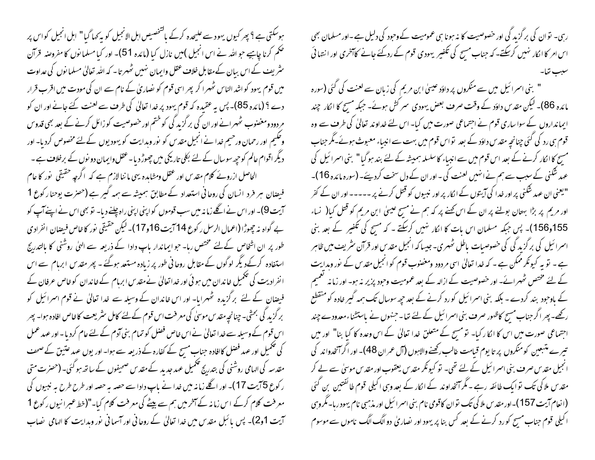ہوسکتی ہے ؟ پھر کیوں یہود سے علیحدہ کرکے ماشخصیص اہل الانجیل کو بہ کہا گیا" اہل انجیل کواس پر حکم کرنا چاہیے حبو اللہ نے اس انجیل )میں نازل کیا (مائدہ 51)۔ اور کیا مسلما نوں کا مفروصنہ قرآن ینٹریف کے اس بیان کےمقابل خلاف عقل واپمان نہیں ٹھہر تا۔ کہ اللہ تعالیٰ مسلمانوں کی عداوت میں قوم یہود کواشد الناس ٹھہرا کر پھر اسی قوم کو نصاریٰ کے نام سے ان کی مودت میں اقرب قرار دے ؟ (مائدہ 85)۔ پس بہ عقیدہ کہ قوم یہود پر خدا تعالیٰ کی طرف سے لعنت کئے جانے اور ان کو مردود ومغضوب ٹھہرانے اور ان کی بر گزید گی کو ختم اور خصوصیت کو زائل کرنے کے بعد بھی قدوس وحلیم اور رحمان ورحیم خدا نے انجیل مقدس کو نور وہدایت کو یہودیوں کےلئے مخصوص کردیا۔ اور دیگر اقوام عالم کو حیحہ سوسال کے لئے بکلی تاریکی میں چھوڑ دیا۔عقل وایمان دو نوں کے برخلاف ہے ۔ الحاصل ازروئے کلام مقدس اور عقل ومشاہدہ یہی ما ننا لازم ہے کہ اگرچہ حقیقی نور کا عام فیصان ہر فرد انسان کی روحانی استعداد کے مطابق ہمیشہ سے ہمہ گیر ہے (حصرت یوحنا رکوع 1 آیت 9)۔ اور اس نے اگلے زمانہ میں سب قوموں کو اپنی اپنی راہ چلنے دیا۔ تو بھی اس نے اپنےآپ کو بے گواہ نہ چھوڑا (اعمال الرسل ر کوع 14 آیت 16و17)۔ لیکن حقیقی نور کا خاص فیصان انفرادی طور پر ان اشخاص کےلئے مختص رہا۔ حبو ایماندار پاپ دادا کے ذریعہ سے الہیٰ روشنی کا بالتدرج استفادہ کرکےدیگر لوگوں کے مقابل روحانی طور پر زیادہ مستعد ہوگئے ۔ پھر مقدس ابرہام سے اس انفرادیت کی تکمیل خاندان میں ہو ئی اور خداتعالیٰ نےمقدس ابرہام کے خاندان کو خاص عرفان کے فیصان کے لئے برگزیدہ ٹھہرایا- اور اس خاندان کے وسیلہ سے غدا تعالیٰ نے قوم اسمرائیل کو برگزید کی بحثی۔ چنانچہ مقدس موسیٰ کی معرفت اس قوم کے لئے کامل سٹریعت کا خاص افادہ ہوا۔ پھر اس قوم کے وسیلہ سے خدا تعالیٰ نے اس خاص فصل کو تمام بنی آدم کے لئے عام کردیا۔ اور عہد عمل کی تکمیل اور عہد فصل کاافادہ جناب مسیح کے کفارہ کے ذریعہ سے ہوا۔ اور یوں عہد عتیق کے صحف مقدسہ کی الہامی روشنی کی بتدریج تکمیل عہد جدید کے مقدس صحیفوں کے ساتھ ہو گئی۔ (حصرت متی ر کوع 5 آیت 17)۔ اور اگلے زمانہ میں خدا نے پاپ دادا سے حصہ یہ حصہ اور طرح طرح یہ نبیوں کی معرفت کلام کرکے اس زمانہ کے آخر میں ہم سے پیٹے کی معرفت کلام کیا۔"(خط عبرانیوں رکوع 1 آیت 1و2)۔ پس بائبل مقدس میں <sub>خد</sub>ا تعالیٰ کے روحانی اور آسمانی نور وبدایت کا الہامی تصاب

رہی۔ توان کی برگزید گی اور خصوصیت کا نہ ہونا ہی عمومیت کےوحود کی دلیل ہے۔اور مسلمان بھی اس امر کا اکار نہیں کرسکتے۔ کہ جناب مسح کی تکفیر یہودی قوم کے ردگئے جانے کاآخری اور انتہائی

" بنی اسمرائیل میں سے منکروں پر داؤد عیسیٰ ابن مریم کی زبان سے لعنت کی گئی (سورہ مائدہ 86)۔ لیکن مقدس داؤد کے وقت صرف بعض یہودی سمر کش ہوئے۔ جبکہ مسح کا الکار چند ایمانداروں کے سوا ساری قوم نے اجتماعی صورت میں کیا۔ اس لئے خداوند تعالیٰ کی طرف سے وہ قوم ہی رد کی گئی چنانچہ مقدس داؤد کے بعد تواس قوم میں بہت سے انبیاء معبوث ہوئے۔مگر جناب مسح کاانکار کرنے کے بعد اس قوم میں سے انبیاء کاسلسلہ ہمیشہ کے لئے بند ہوگیا" بنی اسمرائیل کی عہد شکنی کے سبب سے ہم نے انہیں لعنت کی ۔اور ان کے دل سخت کردیئے۔ (سورہ مائدہ 16)۔ "یعنی ان عہد شکنی پر اور خدا کی آیتوں کے اکار پر اور نبیوں کو قتل کرنے پر ----- اور ان کے کفر اور مریم پر بڑا بہتان بولنے پر ان کے اس کھنے پر کہ ہم نے مسح عیسیٰ ابن مریم کو قتل کیا( نساء 155و156)۔ پس جبکہ مسلمان اس بات کا انکار نہیں کرسکتے ۔ کہ مسح کی تکفیر کے بعد بنی اسمرائیل کی برگزید گی کی خصوصیات باطل ٹھہری۔ جیسا کہ انجیل مقدس اور قرآن سٹریف میں ظاہر ہے۔ تو یہ کیونکر ممکن ہے ۔ کہ خدا تعالیٰ اسی مردود ومغضوب قوم کو انجیل مقدس کے نور وہدایت کے لئے مختص ٹھہرائے۔ اور خصوصیت کے ازالہ کے بعد عمومیت وحبود پزیر نہ ہو۔ اور زمانہ کعمیم کے باوجود بند کردے - بلکہ بنی اسمرائیل کورد کرنے کے بعد حیھ سوسال تک ہمہ گیر خادہ کو منقطع رکھے۔ پھر اگر جناب مسح کاظہور صرف بنی اسمرا ئیل کے لئے تعا۔ جنہوں نے پاستشناء معدودے چند اجتماعی صورت میں اس کا انکار کیا۔ تو مسیح کے متعلق خدا تعالیٰ کے اس وعدہ کا کیا بنا" اور میں تبیرے متبعین کومنکروں پر تا یوم قیامت عالب رکھنےوالاہوں (آل عمران 48)۔ اور اگر آنخدواند کی انجیل مقدس صرف بنی اسرائیل کے لئے تھی۔ تو کیونکر مقدس یعقوب اور مقدس موسلی سے لے کر مقدس ملاکی تک تو ایک طائفہ رہے ۔ مگر آنخداوند کے انکار کے بعد وہی اکیلی قوم طائفتین بن گئی (انعام آیت 157)۔اور مقدس ملا کی تک توان کاقومی نام بنی اسرائیل اور مذہبی نام یہود رہا۔مگروہی ا کیلی قوم جناب مسح کو رد کرنے کے بعد کس بنا پر یہود اور نصاریٰ دو الگ الگ ناموں سے موسوم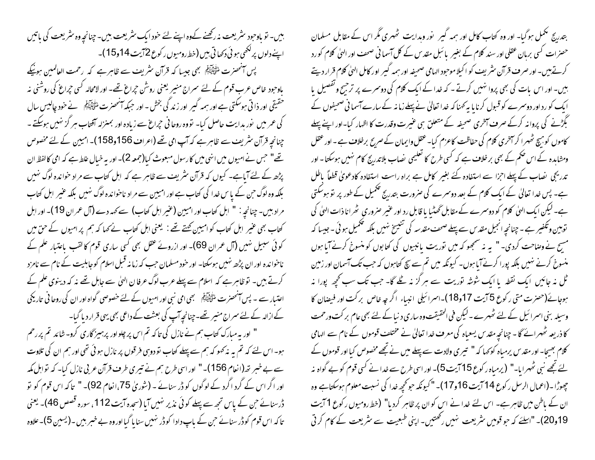بیں۔ تو یاوجود سٹریعت نہ رکھنے کےوہ اپنے لئے حود ایک سٹریعت بیں۔ چنانچہ وہ سٹریعت کی باتیں اپنے دلوں پر لکھی ہو ئی دیھا تی ہیں (خط رومیوں رکوع 72 یت 14و15)۔ پس آنحصرت السُّمْلِيَّةَكُمْ بِهِي جيسا كه قرآن نثريف سے ظاہر ہے كہ رحمت العالمين ہونيكے یاوحود خاص عرب قوم کے لئے سمراج منیر یعنی روشْن حیراغ تھے۔ اور لامحالہ کسی حیراغ کی روشنی نہ حقیقی اور ذا تی ہوسکتی ہے اور ہمہ گیر اور زند گی بخش - اور حبکہ آنحصرت اتھی آتی ہے خود چالیس سال کی عمر میں نور بدایت حاصل کیا۔ تووہ روحانی حیراغ سے زیادہ اور بمنزلہ آفتاب مبر گز نہیں ہوسکتے ۔ چنانچہ قرآن سٹریف سے ظاہر ہے کہ آپ امی تھے (اعراف 156و158)۔ امیین کے لئے مخصوص تھے" حس نے امیوں میں اننی میں کارسول مبعوث کیا(جمعہ 2)۔ اور بہ خیال علط ہے کہ امی کالفظ ان پڑھ کے لئے آباہے۔ کیوں کہ قرآن سٹریف سے ظاہر ہے کہ اہل کتاب سے مراد حواندہ لوگ نہیں بلکہ وہ لوگ حن کے پاس خدا کی کتاب ہے اور امیین سے مراد ناحنواندہ لوگ نہیں بلکہ عنیر اہل کتاب مراد بين- چنانچه : " ابل كتاب اور اميين (عنير ابل كتاب) سے كهه دے (آل عمران 19)- اور ابل کتاب بھی عنیر اہل کتاب کو امیین کھتے تھے : یعنی اہل کتاب نے کہا کہ ہم پر امیوں کے حق میں کوئی سبیل نہیں (آل عمران 69)۔ اور ازروئے عقل بھی کسی ساری قوم کا لقب یاعتیار علم کے ناحوا ندہ اور ان پڑھ نہیں ہوسکتا۔ اور حود مسلمان حب کہ زمانہ قبل اسلام کو جابلیت کے نام سے نامزد کرتے ہیں۔ توظاہرہے کہ اسلام سے پہلے عرب لوگ عرفا ن الہیٰ سے جابل تھے نہ کہ دینوی علم کے اعتسار سے ۔ پس آنحصرت ملتح اِکی اِسِج سمجی امی نبی اور امیوں کے لئے خصوصی گواہ اور ان کی روحا فی تاریخی کے ازالہ کے لئے سمراج منیر تھے۔چنانچہ آپ کی بعثت کے داعی بھی یہی قرار دیا گیا۔ " اور بہ مبارک کتاب ہم نے نازل کی تاکہ تم اس پر چلواور پر ہیز گاری کرو- شائد تم پر رحم ہو۔ اس لئے کہ تم یہ نہ کھو کہ ہم سے پہلے کتاب تو دوسی فرقوں پر نازل ہو ئی تھی اور ہم ان کی تلاوت سے بے خبر تھ (انعام 156)۔" اور اسی طرح ہم نے تیری طرف قرآن عربی نازل کیا۔ کہ تواہل کمہ اور اگر اس کے گرد اگرد کے لوگوں کو ڈر سنانے ۔ (شوریٰ 75،انعام 92)۔ " تاکہ اس قوم کو نو ڈرسنائے جن کے پاس تجھ سے پہلے کوئی نذیر نہیں آیا (سحدہ آیت 112 ، سورہ قصص 46)۔ یعنی تا کہ اس قوم کو ڈر سنائے حن کے باپ دادا کو ڈر نہیں سنا پا گیا اور وہ بے خبر ہیں ۔(یسین 5)۔علاوہ

بتدریج مکمل ہوگیا۔ اور وہ کتاب کامل اور ہمہ گیر ِ نور وبدایت ٹھہری مگر اس کے مقابل مسلمان حصنرات کسی بربان عقلی اور سند کلام کے بغیر بائبل مقدس کے کل آسمانی صحف اور الہیٰ کلام کورد کرتے ہیں۔ اور صرف قرآن سثر یف کو اکیلا موحبود الہامی صحیفہ اور ہمہ گیر اور کامل الہیٰ کلام قرار دیتے ہیں۔ اور اس بات کی بھی پروا نہیں کرتے ۔ کہ خدا کے ایک کلام کی دوسرے پر ترجیح وتفصیل پا ایک کو رد اور دوسمرے کو قبول کرنا یا یہ کہنا کہ خدا تعالیٰ نے پہلے زمانہ کے سارے آسما فی صحیفوں کے بگڑنے کی پروانہ کرکے صرف آمخری صحیفہ کے متعلق ہی عنیرت وقدرت کا اظہار کیا-اور اپنے پہلے کاموں کو ہیچ ٹھہرا کر آخری کلام کی حفاظت کاعزم کیا۔عنقل وایمان کے صریح برخلاف ہے ۔ اور عقل ومشاہدہ کے اس حکم کے بھی بر خلاف ہے کہ کسی طرح کا تعلیمی نصاب بلاتدرج کام نہیں ہوسکتا۔ اور تدریجی یضاب کے پہلے اجزا سے استفادہ کئے بغیر کامل ہے براہ راست استفادہ کادعویٰ قطعاً باطل ہے۔ پس خدا تعالیٰ کے ایک کلام کے بعد دوسرے کی صرورت بتدریج تکمیل کے طور پر نو ہوسکتی ہے۔ لیکن ایک الہیٰ کلام کو دوسرے کے مقابل ٹھٹیا یا قابل رد اور عنیر صروری گھرانا ذات الہیٰ کی توہین وتکفیر ہے ۔ چنانچہ انجیل مقدس سے پہلے صحف مقدسہ کی تنبیخ نہیں بلکہ تکحمیل ہوئی ۔ جیسا کہ مسح نے وصاحت کردی۔ " یہ نہ سمجھو کہ میں توریت پانبیوں کی کتابوں کو منسوخ کرنے آیا ہوں منسوخ کرنے نہیں بلکہ پورا کرنےآبا ہوں۔ کیونکہ میں تم سے سچ کتاہوں کہ جب تک آسمان اور زمین ٹل نہ جائیں ایک نقطہ یا ایک شوشہ توریت سے ہر گز نہ گلے گا۔ جب تک سب کحچھ پورا نہ ہوجائے(حضرت متی رکوع 5 آیت 17و18)۔اسرائیلی انبیاء اگر چہ خاص برکت اور فیضان کا وسیلہ بنی اسرائیل کے لئے ٹھہرے۔لیکن فی الحقیقت وہ ساری د نیا کے لئے بھی عام بر کت ورحمت کا ذریعہ ٹھہرائے گا - چنانچہ مقدس یسعیاہ کی معرف خدا تعالیٰ نے مختلف قوموں کے نام سے الہامی کلام بھیجا- اور مقدس پرمباہ کو کہا کہ " تیری ولادت سے پہلے میں نے تجھے مخصوص کیا اور قوموں کے یئے تجھے نبی ٹھہرایا۔" (پرمیاہ ر کوع 15 آیت 5)۔ اور اسی طرح سے غدا نے کسی قوم کو بے گواہ نہ چھوڑا۔(اعمال الرسل ر کوع 14 آیت 16و17)۔ "کیونکہ حوکحچہ خدا کی نسبت معلوم ہوسکتاہے وہ ان کے باطن میں ظاہر ہے۔ اس لئے خدا نے اس کو ان پر ظاہر کردیا" (خط رومیوں رکوع 1 آیت 19و20)۔ "اسلئے کہ حبو قومیں سٹریعت نہیں رکھتیں۔ اپنی طبعیت سے سٹریعت کے کام کر ٹی